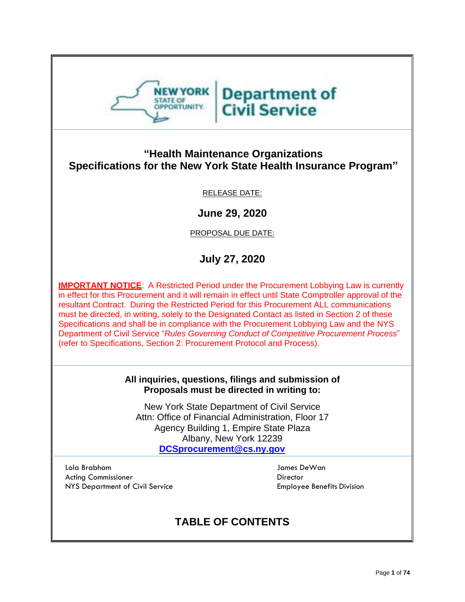

# **Department of Civil Service**

## **"Health Maintenance Organizations Specifications for the New York State Health Insurance Program"**

## RELEASE DATE:

**June 29, 2020**

PROPOSAL DUE DATE:

## **July 27, 2020**

**IMPORTANT NOTICE:** A Restricted Period under the Procurement Lobbying Law is currently in effect for this Procurement and it will remain in effect until State Comptroller approval of the resultant Contract. During the Restricted Period for this Procurement ALL communications must be directed, in writing, solely to the Designated Contact as listed in Section 2 of these Specifications and shall be in compliance with the Procurement Lobbying Law and the NYS Department of Civil Service "*Rules Governing Conduct of Competitive Procurement Process*" (refer to Specifications, Section 2: Procurement Protocol and Process).

#### **All inquiries, questions, filings and submission of Proposals must be directed in writing to:**

New York State Department of Civil Service Attn: Office of Financial Administration, Floor 17 Agency Building 1, Empire State Plaza Albany, New York 12239 **[DCSprocurement@cs.ny.gov](mailto:DCSprocurement@cs.ny.gov)**

Lola Brabham James DeWan Acting Commissioner **Director** Director NYS Department of Civil Service **Employee Benefits Division** 

## **TABLE OF CONTENTS**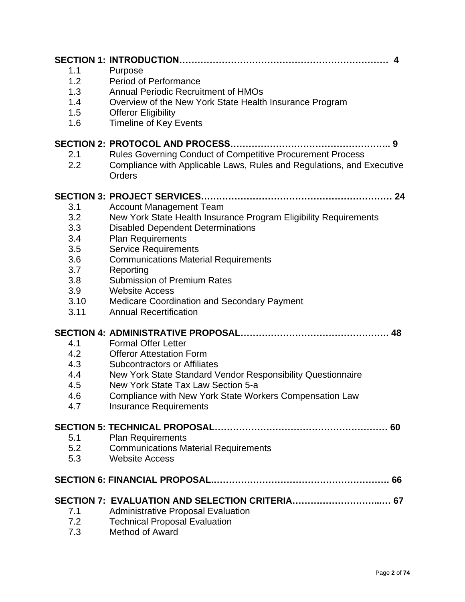| 1.1<br>1.2<br>1.3<br>1.4<br>1.5<br>1.6<br>2.1<br>2.2                        | 4<br>Purpose<br><b>Period of Performance</b><br><b>Annual Periodic Recruitment of HMOs</b><br>Overview of the New York State Health Insurance Program<br><b>Offeror Eligibility</b><br><b>Timeline of Key Events</b><br>Rules Governing Conduct of Competitive Procurement Process<br>Compliance with Applicable Laws, Rules and Regulations, and Executive                                                                 |
|-----------------------------------------------------------------------------|-----------------------------------------------------------------------------------------------------------------------------------------------------------------------------------------------------------------------------------------------------------------------------------------------------------------------------------------------------------------------------------------------------------------------------|
|                                                                             | Orders                                                                                                                                                                                                                                                                                                                                                                                                                      |
| 3.1<br>3.2<br>3.3<br>3.4<br>3.5<br>3.6<br>3.7<br>3.8<br>3.9<br>3.10<br>3.11 | <b>Account Management Team</b><br>New York State Health Insurance Program Eligibility Requirements<br><b>Disabled Dependent Determinations</b><br><b>Plan Requirements</b><br><b>Service Requirements</b><br><b>Communications Material Requirements</b><br>Reporting<br><b>Submission of Premium Rates</b><br><b>Website Access</b><br><b>Medicare Coordination and Secondary Payment</b><br><b>Annual Recertification</b> |
| 4.1<br>4.2<br>4.3<br>4.4<br>4.5<br>4.6<br>4.7                               | <b>Formal Offer Letter</b><br><b>Offeror Attestation Form</b><br><b>Subcontractors or Affiliates</b><br>New York State Standard Vendor Responsibility Questionnaire<br>New York State Tax Law Section 5-a<br>Compliance with New York State Workers Compensation Law<br><b>Insurance Requirements</b>                                                                                                                       |
| 5.1<br>5.2<br>5.3                                                           | <b>Plan Requirements</b><br><b>Communications Material Requirements</b><br><b>Website Access</b>                                                                                                                                                                                                                                                                                                                            |
|                                                                             |                                                                                                                                                                                                                                                                                                                                                                                                                             |
| 7.1<br>7.2<br>7.3                                                           | <b>Administrative Proposal Evaluation</b><br><b>Technical Proposal Evaluation</b><br><b>Method of Award</b>                                                                                                                                                                                                                                                                                                                 |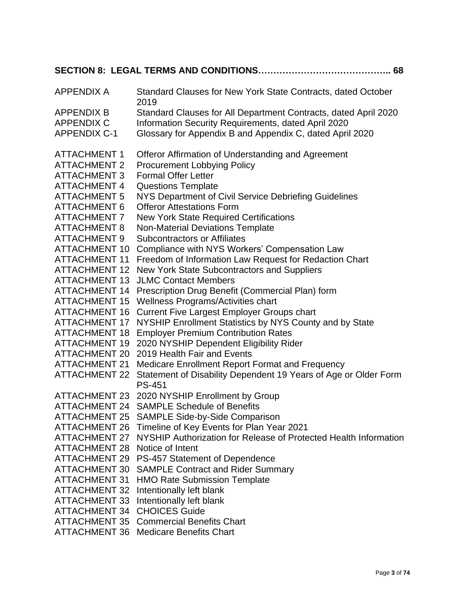| <b>APPENDIX A</b>    | Standard Clauses for New York State Contracts, dated October<br>2019             |  |  |
|----------------------|----------------------------------------------------------------------------------|--|--|
| <b>APPENDIX B</b>    | Standard Clauses for All Department Contracts, dated April 2020                  |  |  |
| <b>APPENDIX C</b>    | Information Security Requirements, dated April 2020                              |  |  |
| <b>APPENDIX C-1</b>  | Glossary for Appendix B and Appendix C, dated April 2020                         |  |  |
| <b>ATTACHMENT 1</b>  | Offeror Affirmation of Understanding and Agreement                               |  |  |
| <b>ATTACHMENT 2</b>  | <b>Procurement Lobbying Policy</b>                                               |  |  |
| <b>ATTACHMENT 3</b>  | <b>Formal Offer Letter</b>                                                       |  |  |
| <b>ATTACHMENT 4</b>  | <b>Questions Template</b>                                                        |  |  |
| <b>ATTACHMENT 5</b>  | NYS Department of Civil Service Debriefing Guidelines                            |  |  |
| <b>ATTACHMENT 6</b>  | <b>Offeror Attestations Form</b>                                                 |  |  |
| <b>ATTACHMENT 7</b>  | <b>New York State Required Certifications</b>                                    |  |  |
| <b>ATTACHMENT 8</b>  | <b>Non-Material Deviations Template</b>                                          |  |  |
| <b>ATTACHMENT 9</b>  | <b>Subcontractors or Affiliates</b>                                              |  |  |
| <b>ATTACHMENT 10</b> | Compliance with NYS Workers' Compensation Law                                    |  |  |
| <b>ATTACHMENT 11</b> | Freedom of Information Law Request for Redaction Chart                           |  |  |
| <b>ATTACHMENT 12</b> | New York State Subcontractors and Suppliers                                      |  |  |
| <b>ATTACHMENT 13</b> | <b>JLMC Contact Members</b>                                                      |  |  |
| <b>ATTACHMENT 14</b> | Prescription Drug Benefit (Commercial Plan) form                                 |  |  |
| <b>ATTACHMENT 15</b> | Wellness Programs/Activities chart                                               |  |  |
| <b>ATTACHMENT 16</b> | <b>Current Five Largest Employer Groups chart</b>                                |  |  |
| <b>ATTACHMENT 17</b> | NYSHIP Enrollment Statistics by NYS County and by State                          |  |  |
| <b>ATTACHMENT 18</b> | <b>Employer Premium Contribution Rates</b>                                       |  |  |
| <b>ATTACHMENT 19</b> | 2020 NYSHIP Dependent Eligibility Rider                                          |  |  |
| <b>ATTACHMENT 20</b> | 2019 Health Fair and Events                                                      |  |  |
| <b>ATTACHMENT 21</b> | Medicare Enrollment Report Format and Frequency                                  |  |  |
| <b>ATTACHMENT 22</b> | Statement of Disability Dependent 19 Years of Age or Older Form<br><b>PS-451</b> |  |  |
| <b>ATTACHMENT 23</b> | 2020 NYSHIP Enrollment by Group                                                  |  |  |
| ATTACHMENT 24        | <b>SAMPLE Schedule of Benefits</b>                                               |  |  |
| <b>ATTACHMENT 25</b> | <b>SAMPLE Side-by-Side Comparison</b>                                            |  |  |
| <b>ATTACHMENT 26</b> | Timeline of Key Events for Plan Year 2021                                        |  |  |
| <b>ATTACHMENT 27</b> | NYSHIP Authorization for Release of Protected Health Information                 |  |  |
| <b>ATTACHMENT 28</b> | Notice of Intent                                                                 |  |  |
| <b>ATTACHMENT 29</b> | PS-457 Statement of Dependence                                                   |  |  |
| <b>ATTACHMENT 30</b> | <b>SAMPLE Contract and Rider Summary</b>                                         |  |  |
| <b>ATTACHMENT 31</b> | <b>HMO Rate Submission Template</b>                                              |  |  |
| <b>ATTACHMENT 32</b> | Intentionally left blank                                                         |  |  |
| <b>ATTACHMENT 33</b> | Intentionally left blank                                                         |  |  |
| <b>ATTACHMENT 34</b> | <b>CHOICES Guide</b>                                                             |  |  |
| ATTACHMENT 35        | <b>Commercial Benefits Chart</b>                                                 |  |  |
| ATTACHMENT 36        | <b>Medicare Benefits Chart</b>                                                   |  |  |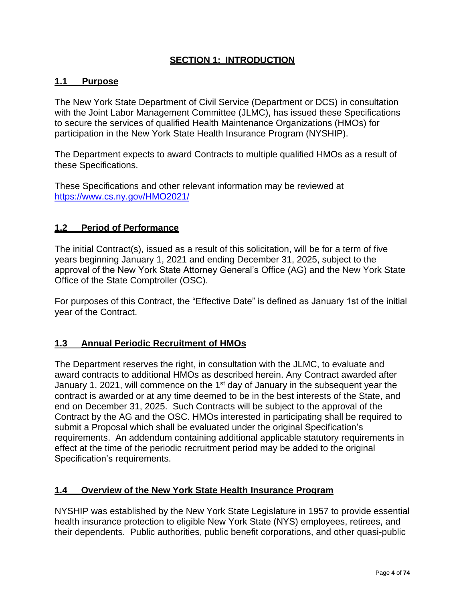## **SECTION 1: INTRODUCTION**

#### **1.1 Purpose**

The New York State Department of Civil Service (Department or DCS) in consultation with the Joint Labor Management Committee (JLMC), has issued these Specifications to secure the services of qualified Health Maintenance Organizations (HMOs) for participation in the New York State Health Insurance Program (NYSHIP).

The Department expects to award Contracts to multiple qualified HMOs as a result of these Specifications.

These Specifications and other relevant information may be reviewed at <https://www.cs.ny.gov/HMO2021/>

#### **1.2 Period of Performance**

The initial Contract(s), issued as a result of this solicitation, will be for a term of five years beginning January 1, 2021 and ending December 31, 2025, subject to the approval of the New York State Attorney General's Office (AG) and the New York State Office of the State Comptroller (OSC).

For purposes of this Contract, the "Effective Date" is defined as January 1st of the initial year of the Contract.

#### **1.3 Annual Periodic Recruitment of HMOs**

The Department reserves the right, in consultation with the JLMC, to evaluate and award contracts to additional HMOs as described herein. Any Contract awarded after January 1, 2021, will commence on the 1<sup>st</sup> day of January in the subsequent year the contract is awarded or at any time deemed to be in the best interests of the State, and end on December 31, 2025. Such Contracts will be subject to the approval of the Contract by the AG and the OSC. HMOs interested in participating shall be required to submit a Proposal which shall be evaluated under the original Specification's requirements. An addendum containing additional applicable statutory requirements in effect at the time of the periodic recruitment period may be added to the original Specification's requirements.

#### **1.4 Overview of the New York State Health Insurance Program**

NYSHIP was established by the New York State Legislature in 1957 to provide essential health insurance protection to eligible New York State (NYS) employees, retirees, and their dependents. Public authorities, public benefit corporations, and other quasi-public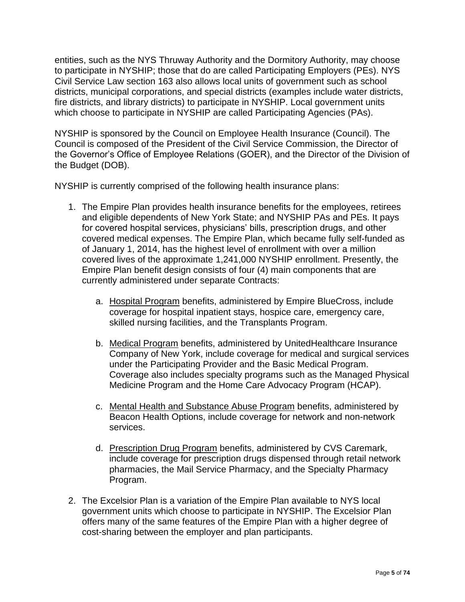entities, such as the NYS Thruway Authority and the Dormitory Authority, may choose to participate in NYSHIP; those that do are called Participating Employers (PEs). NYS Civil Service Law section 163 also allows local units of government such as school districts, municipal corporations, and special districts (examples include water districts, fire districts, and library districts) to participate in NYSHIP. Local government units which choose to participate in NYSHIP are called Participating Agencies (PAs).

NYSHIP is sponsored by the Council on Employee Health Insurance (Council). The Council is composed of the President of the Civil Service Commission, the Director of the Governor's Office of Employee Relations (GOER), and the Director of the Division of the Budget (DOB).

NYSHIP is currently comprised of the following health insurance plans:

- 1. The Empire Plan provides health insurance benefits for the employees, retirees and eligible dependents of New York State; and NYSHIP PAs and PEs. It pays for covered hospital services, physicians' bills, prescription drugs, and other covered medical expenses. The Empire Plan, which became fully self-funded as of January 1, 2014, has the highest level of enrollment with over a million covered lives of the approximate 1,241,000 NYSHIP enrollment. Presently, the Empire Plan benefit design consists of four (4) main components that are currently administered under separate Contracts:
	- a. Hospital Program benefits, administered by Empire BlueCross, include coverage for hospital inpatient stays, hospice care, emergency care, skilled nursing facilities, and the Transplants Program.
	- b. Medical Program benefits, administered by UnitedHealthcare Insurance Company of New York, include coverage for medical and surgical services under the Participating Provider and the Basic Medical Program. Coverage also includes specialty programs such as the Managed Physical Medicine Program and the Home Care Advocacy Program (HCAP).
	- c. Mental Health and Substance Abuse Program benefits, administered by Beacon Health Options, include coverage for network and non-network services.
	- d. Prescription Drug Program benefits, administered by CVS Caremark, include coverage for prescription drugs dispensed through retail network pharmacies, the Mail Service Pharmacy, and the Specialty Pharmacy Program.
- 2. The Excelsior Plan is a variation of the Empire Plan available to NYS local government units which choose to participate in NYSHIP. The Excelsior Plan offers many of the same features of the Empire Plan with a higher degree of cost-sharing between the employer and plan participants.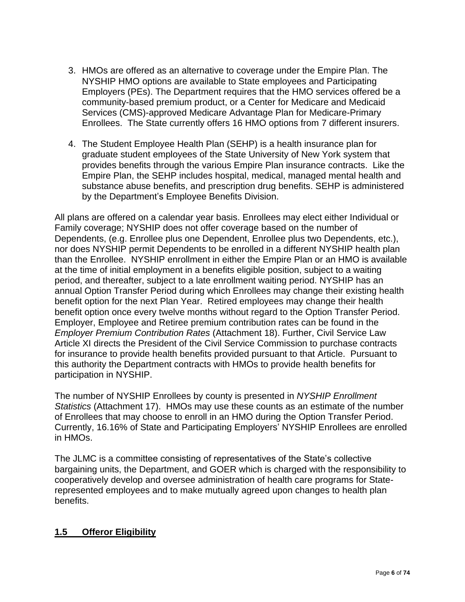- 3. HMOs are offered as an alternative to coverage under the Empire Plan. The NYSHIP HMO options are available to State employees and Participating Employers (PEs). The Department requires that the HMO services offered be a community-based premium product, or a Center for Medicare and Medicaid Services (CMS)-approved Medicare Advantage Plan for Medicare-Primary Enrollees. The State currently offers 16 HMO options from 7 different insurers.
- 4. The Student Employee Health Plan (SEHP) is a health insurance plan for graduate student employees of the State University of New York system that provides benefits through the various Empire Plan insurance contracts. Like the Empire Plan, the SEHP includes hospital, medical, managed mental health and substance abuse benefits, and prescription drug benefits. SEHP is administered by the Department's Employee Benefits Division.

All plans are offered on a calendar year basis. Enrollees may elect either Individual or Family coverage; NYSHIP does not offer coverage based on the number of Dependents, (e.g. Enrollee plus one Dependent, Enrollee plus two Dependents, etc.), nor does NYSHIP permit Dependents to be enrolled in a different NYSHIP health plan than the Enrollee. NYSHIP enrollment in either the Empire Plan or an HMO is available at the time of initial employment in a benefits eligible position, subject to a waiting period, and thereafter, subject to a late enrollment waiting period. NYSHIP has an annual Option Transfer Period during which Enrollees may change their existing health benefit option for the next Plan Year. Retired employees may change their health benefit option once every twelve months without regard to the Option Transfer Period. Employer, Employee and Retiree premium contribution rates can be found in the *Employer Premium Contribution Rates* (Attachment 18). Further, Civil Service Law Article XI directs the President of the Civil Service Commission to purchase contracts for insurance to provide health benefits provided pursuant to that Article. Pursuant to this authority the Department contracts with HMOs to provide health benefits for participation in NYSHIP.

The number of NYSHIP Enrollees by county is presented in *NYSHIP Enrollment Statistics* (Attachment 17). HMOs may use these counts as an estimate of the number of Enrollees that may choose to enroll in an HMO during the Option Transfer Period. Currently, 16.16% of State and Participating Employers' NYSHIP Enrollees are enrolled in HMOs.

The JLMC is a committee consisting of representatives of the State's collective bargaining units, the Department, and GOER which is charged with the responsibility to cooperatively develop and oversee administration of health care programs for Staterepresented employees and to make mutually agreed upon changes to health plan benefits.

## **1.5 Offeror Eligibility**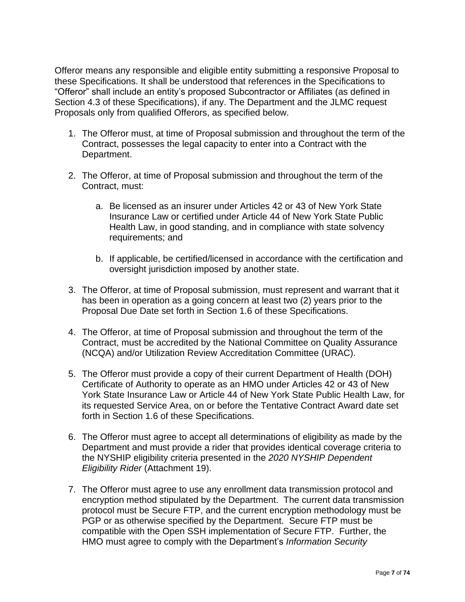Offeror means any responsible and eligible entity submitting a responsive Proposal to these Specifications. It shall be understood that references in the Specifications to "Offeror" shall include an entity's proposed Subcontractor or Affiliates (as defined in Section 4.3 of these Specifications), if any. The Department and the JLMC request Proposals only from qualified Offerors, as specified below.

- 1. The Offeror must, at time of Proposal submission and throughout the term of the Contract, possesses the legal capacity to enter into a Contract with the Department.
- 2. The Offeror, at time of Proposal submission and throughout the term of the Contract, must:
	- a. Be licensed as an insurer under Articles 42 or 43 of New York State Insurance Law or certified under Article 44 of New York State Public Health Law, in good standing, and in compliance with state solvency requirements; and
	- b. If applicable, be certified/licensed in accordance with the certification and oversight jurisdiction imposed by another state.
- 3. The Offeror, at time of Proposal submission, must represent and warrant that it has been in operation as a going concern at least two (2) years prior to the Proposal Due Date set forth in Section 1.6 of these Specifications.
- 4. The Offeror, at time of Proposal submission and throughout the term of the Contract, must be accredited by the National Committee on Quality Assurance (NCQA) and/or Utilization Review Accreditation Committee (URAC).
- 5. The Offeror must provide a copy of their current Department of Health (DOH) Certificate of Authority to operate as an HMO under Articles 42 or 43 of New York State Insurance Law or Article 44 of New York State Public Health Law, for its requested Service Area, on or before the Tentative Contract Award date set forth in Section 1.6 of these Specifications.
- 6. The Offeror must agree to accept all determinations of eligibility as made by the Department and must provide a rider that provides identical coverage criteria to the NYSHIP eligibility criteria presented in the *2020 NYSHIP Dependent Eligibility Rider* (Attachment 19).
- 7. The Offeror must agree to use any enrollment data transmission protocol and encryption method stipulated by the Department. The current data transmission protocol must be Secure FTP, and the current encryption methodology must be PGP or as otherwise specified by the Department. Secure FTP must be compatible with the Open SSH implementation of Secure FTP. Further, the HMO must agree to comply with the Department's *Information Security*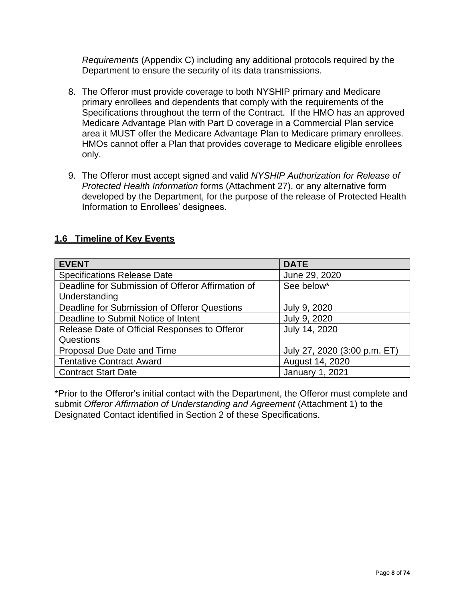*Requirements* (Appendix C) including any additional protocols required by the Department to ensure the security of its data transmissions.

- 8. The Offeror must provide coverage to both NYSHIP primary and Medicare primary enrollees and dependents that comply with the requirements of the Specifications throughout the term of the Contract. If the HMO has an approved Medicare Advantage Plan with Part D coverage in a Commercial Plan service area it MUST offer the Medicare Advantage Plan to Medicare primary enrollees. HMOs cannot offer a Plan that provides coverage to Medicare eligible enrollees only.
- 9. The Offeror must accept signed and valid *NYSHIP Authorization for Release of Protected Health Information* forms (Attachment 27), or any alternative form developed by the Department, for the purpose of the release of Protected Health Information to Enrollees' designees.

## **1.6 Timeline of Key Events**

| <b>EVENT</b>                                      | <b>DATE</b>                  |
|---------------------------------------------------|------------------------------|
| <b>Specifications Release Date</b>                | June 29, 2020                |
| Deadline for Submission of Offeror Affirmation of | See below*                   |
| Understanding                                     |                              |
| Deadline for Submission of Offeror Questions      | July 9, 2020                 |
| Deadline to Submit Notice of Intent               | July 9, 2020                 |
| Release Date of Official Responses to Offeror     | July 14, 2020                |
| Questions                                         |                              |
| Proposal Due Date and Time                        | July 27, 2020 (3:00 p.m. ET) |
| <b>Tentative Contract Award</b>                   | August 14, 2020              |
| <b>Contract Start Date</b>                        | <b>January 1, 2021</b>       |

\*Prior to the Offeror's initial contact with the Department, the Offeror must complete and submit *Offeror Affirmation of Understanding and Agreement* (Attachment 1) to the Designated Contact identified in Section 2 of these Specifications.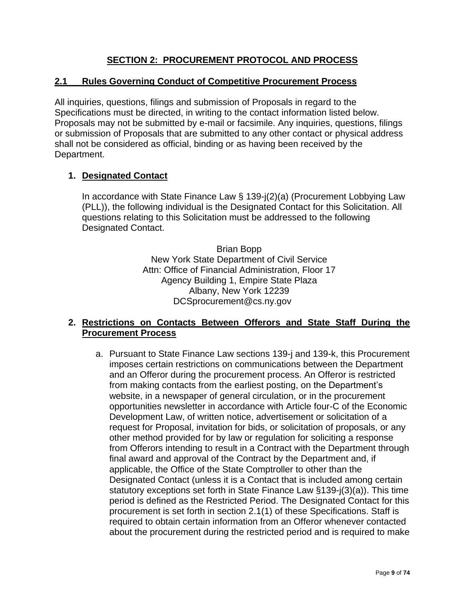## **SECTION 2: PROCUREMENT PROTOCOL AND PROCESS**

#### **2.1 Rules Governing Conduct of Competitive Procurement Process**

All inquiries, questions, filings and submission of Proposals in regard to the Specifications must be directed, in writing to the contact information listed below. Proposals may not be submitted by e-mail or facsimile. Any inquiries, questions, filings or submission of Proposals that are submitted to any other contact or physical address shall not be considered as official, binding or as having been received by the Department.

#### **1. Designated Contact**

In accordance with State Finance Law § 139-j(2)(a) (Procurement Lobbying Law (PLL)), the following individual is the Designated Contact for this Solicitation. All questions relating to this Solicitation must be addressed to the following Designated Contact.

> Brian Bopp New York State Department of Civil Service Attn: Office of Financial Administration, Floor 17 Agency Building 1, Empire State Plaza Albany, New York 12239 DCSprocurement@cs.ny.gov

#### **2. Restrictions on Contacts Between Offerors and State Staff During the Procurement Process**

a. Pursuant to State Finance Law sections 139-j and 139-k, this Procurement imposes certain restrictions on communications between the Department and an Offeror during the procurement process. An Offeror is restricted from making contacts from the earliest posting, on the Department's website, in a newspaper of general circulation, or in the procurement opportunities newsletter in accordance with Article four-C of the Economic Development Law, of written notice, advertisement or solicitation of a request for Proposal, invitation for bids, or solicitation of proposals, or any other method provided for by law or regulation for soliciting a response from Offerors intending to result in a Contract with the Department through final award and approval of the Contract by the Department and, if applicable, the Office of the State Comptroller to other than the Designated Contact (unless it is a Contact that is included among certain statutory exceptions set forth in State Finance Law §139-j(3)(a)). This time period is defined as the Restricted Period. The Designated Contact for this procurement is set forth in section 2.1(1) of these Specifications. Staff is required to obtain certain information from an Offeror whenever contacted about the procurement during the restricted period and is required to make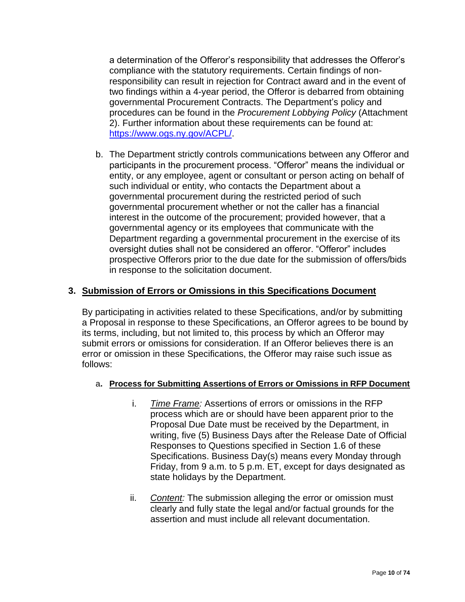a determination of the Offeror's responsibility that addresses the Offeror's compliance with the statutory requirements. Certain findings of nonresponsibility can result in rejection for Contract award and in the event of two findings within a 4-year period, the Offeror is debarred from obtaining governmental Procurement Contracts. The Department's policy and procedures can be found in the *Procurement Lobbying Policy* (Attachment 2). Further information about these requirements can be found at: [https://www.ogs.ny.gov/ACPL/.](https://www.ogs.ny.gov/ACPL/)

b. The Department strictly controls communications between any Offeror and participants in the procurement process. "Offeror" means the individual or entity, or any employee, agent or consultant or person acting on behalf of such individual or entity, who contacts the Department about a governmental procurement during the restricted period of such governmental procurement whether or not the caller has a financial interest in the outcome of the procurement; provided however, that a governmental agency or its employees that communicate with the Department regarding a governmental procurement in the exercise of its oversight duties shall not be considered an offeror. "Offeror" includes prospective Offerors prior to the due date for the submission of offers/bids in response to the solicitation document.

## **3. Submission of Errors or Omissions in this Specifications Document**

By participating in activities related to these Specifications, and/or by submitting a Proposal in response to these Specifications, an Offeror agrees to be bound by its terms, including, but not limited to, this process by which an Offeror may submit errors or omissions for consideration. If an Offeror believes there is an error or omission in these Specifications, the Offeror may raise such issue as follows:

#### a**. Process for Submitting Assertions of Errors or Omissions in RFP Document**

- i. *Time Frame:* Assertions of errors or omissions in the RFP process which are or should have been apparent prior to the Proposal Due Date must be received by the Department, in writing, five (5) Business Days after the Release Date of Official Responses to Questions specified in Section 1.6 of these Specifications. Business Day(s) means every Monday through Friday, from 9 a.m. to 5 p.m. ET, except for days designated as state holidays by the Department.
- ii. *Content:* The submission alleging the error or omission must clearly and fully state the legal and/or factual grounds for the assertion and must include all relevant documentation.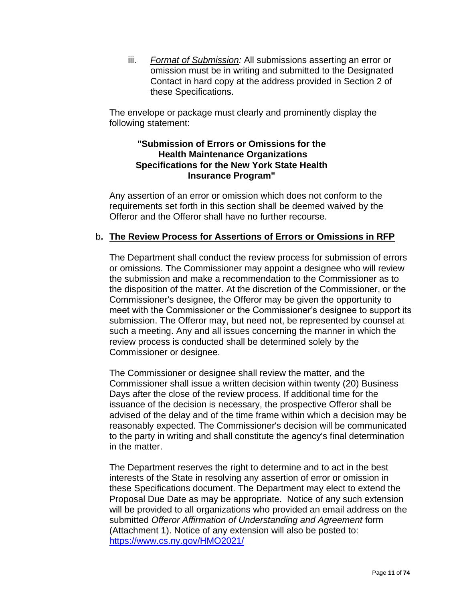iii. *Format of Submission:* All submissions asserting an error or omission must be in writing and submitted to the Designated Contact in hard copy at the address provided in Section 2 of these Specifications.

The envelope or package must clearly and prominently display the following statement:

#### **"Submission of Errors or Omissions for the Health Maintenance Organizations Specifications for the New York State Health Insurance Program"**

Any assertion of an error or omission which does not conform to the requirements set forth in this section shall be deemed waived by the Offeror and the Offeror shall have no further recourse.

### b**. The Review Process for Assertions of Errors or Omissions in RFP**

The Department shall conduct the review process for submission of errors or omissions. The Commissioner may appoint a designee who will review the submission and make a recommendation to the Commissioner as to the disposition of the matter. At the discretion of the Commissioner, or the Commissioner's designee, the Offeror may be given the opportunity to meet with the Commissioner or the Commissioner's designee to support its submission. The Offeror may, but need not, be represented by counsel at such a meeting. Any and all issues concerning the manner in which the review process is conducted shall be determined solely by the Commissioner or designee.

The Commissioner or designee shall review the matter, and the Commissioner shall issue a written decision within twenty (20) Business Days after the close of the review process. If additional time for the issuance of the decision is necessary, the prospective Offeror shall be advised of the delay and of the time frame within which a decision may be reasonably expected. The Commissioner's decision will be communicated to the party in writing and shall constitute the agency's final determination in the matter.

The Department reserves the right to determine and to act in the best interests of the State in resolving any assertion of error or omission in these Specifications document. The Department may elect to extend the Proposal Due Date as may be appropriate. Notice of any such extension will be provided to all organizations who provided an email address on the submitted *Offeror Affirmation of Understanding and Agreement* form (Attachment 1). Notice of any extension will also be posted to: <https://www.cs.ny.gov/HMO2021/>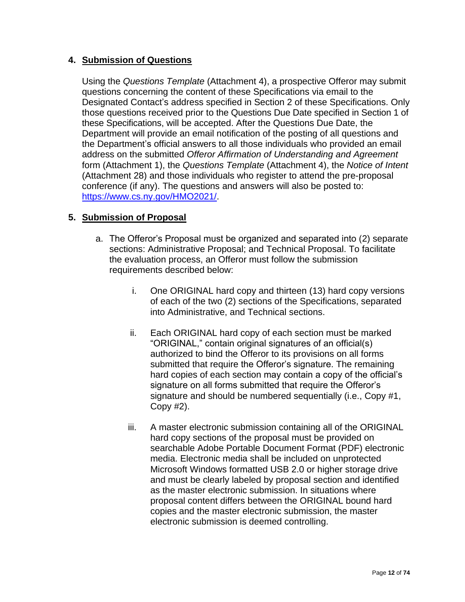## **4. Submission of Questions**

Using the *Questions Template* (Attachment 4), a prospective Offeror may submit questions concerning the content of these Specifications via email to the Designated Contact's address specified in Section 2 of these Specifications. Only those questions received prior to the Questions Due Date specified in Section 1 of these Specifications, will be accepted. After the Questions Due Date, the Department will provide an email notification of the posting of all questions and the Department's official answers to all those individuals who provided an email address on the submitted *Offeror Affirmation of Understanding and Agreement* form (Attachment 1), the *Questions Template* (Attachment 4), the *Notice of Intent* (Attachment 28) and those individuals who register to attend the pre-proposal conference (if any). The questions and answers will also be posted to: [https://www.cs.ny.gov/HMO2021/.](https://www.cs.ny.gov/HMO2021/)

## **5. Submission of Proposal**

- a. The Offeror's Proposal must be organized and separated into (2) separate sections: Administrative Proposal; and Technical Proposal. To facilitate the evaluation process, an Offeror must follow the submission requirements described below:
	- i. One ORIGINAL hard copy and thirteen (13) hard copy versions of each of the two (2) sections of the Specifications, separated into Administrative, and Technical sections.
	- ii. Each ORIGINAL hard copy of each section must be marked "ORIGINAL," contain original signatures of an official(s) authorized to bind the Offeror to its provisions on all forms submitted that require the Offeror's signature. The remaining hard copies of each section may contain a copy of the official's signature on all forms submitted that require the Offeror's signature and should be numbered sequentially (i.e., Copy #1, Copy #2).
	- iii. A master electronic submission containing all of the ORIGINAL hard copy sections of the proposal must be provided on searchable Adobe Portable Document Format (PDF) electronic media. Electronic media shall be included on unprotected Microsoft Windows formatted USB 2.0 or higher storage drive and must be clearly labeled by proposal section and identified as the master electronic submission. In situations where proposal content differs between the ORIGINAL bound hard copies and the master electronic submission, the master electronic submission is deemed controlling.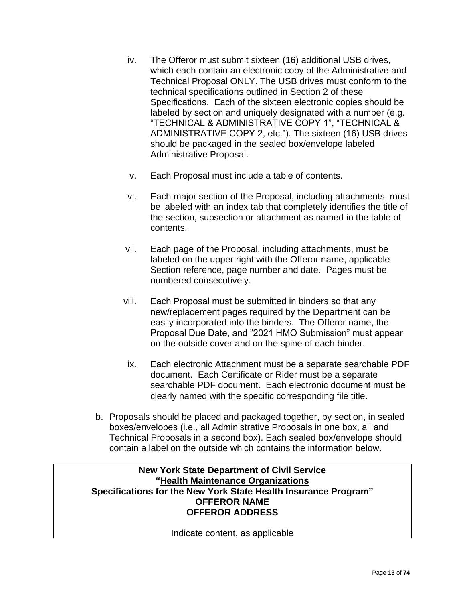- iv. The Offeror must submit sixteen (16) additional USB drives, which each contain an electronic copy of the Administrative and Technical Proposal ONLY. The USB drives must conform to the technical specifications outlined in Section 2 of these Specifications. Each of the sixteen electronic copies should be labeled by section and uniquely designated with a number (e.g. "TECHNICAL & ADMINISTRATIVE COPY 1", "TECHNICAL & ADMINISTRATIVE COPY 2, etc."). The sixteen (16) USB drives should be packaged in the sealed box/envelope labeled Administrative Proposal.
- v. Each Proposal must include a table of contents.
- vi. Each major section of the Proposal, including attachments, must be labeled with an index tab that completely identifies the title of the section, subsection or attachment as named in the table of contents.
- vii. Each page of the Proposal, including attachments, must be labeled on the upper right with the Offeror name, applicable Section reference, page number and date. Pages must be numbered consecutively.
- viii. Each Proposal must be submitted in binders so that any new/replacement pages required by the Department can be easily incorporated into the binders. The Offeror name, the Proposal Due Date, and "2021 HMO Submission" must appear on the outside cover and on the spine of each binder.
- ix. Each electronic Attachment must be a separate searchable PDF document. Each Certificate or Rider must be a separate searchable PDF document. Each electronic document must be clearly named with the specific corresponding file title.
- b. Proposals should be placed and packaged together, by section, in sealed boxes/envelopes (i.e., all Administrative Proposals in one box, all and Technical Proposals in a second box). Each sealed box/envelope should contain a label on the outside which contains the information below.

## **New York State Department of Civil Service "Health Maintenance Organizations Specifications for the New York State Health Insurance Program" OFFEROR NAME OFFEROR ADDRESS**

Indicate content, as applicable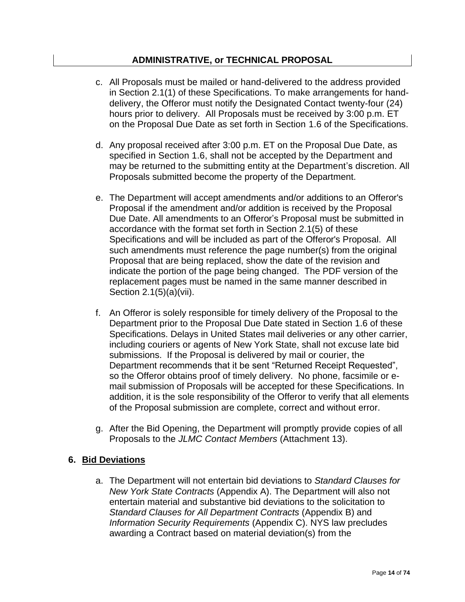## **ADMINISTRATIVE, or TECHNICAL PROPOSAL**

- c. All Proposals must be mailed or hand-delivered to the address provided in Section 2.1(1) of these Specifications. To make arrangements for handdelivery, the Offeror must notify the Designated Contact twenty-four (24) hours prior to delivery. All Proposals must be received by 3:00 p.m. ET on the Proposal Due Date as set forth in Section 1.6 of the Specifications.
- d. Any proposal received after 3:00 p.m. ET on the Proposal Due Date, as specified in Section 1.6, shall not be accepted by the Department and may be returned to the submitting entity at the Department's discretion. All Proposals submitted become the property of the Department.
- e. The Department will accept amendments and/or additions to an Offeror's Proposal if the amendment and/or addition is received by the Proposal Due Date. All amendments to an Offeror's Proposal must be submitted in accordance with the format set forth in Section 2.1(5) of these Specifications and will be included as part of the Offeror's Proposal. All such amendments must reference the page number(s) from the original Proposal that are being replaced, show the date of the revision and indicate the portion of the page being changed. The PDF version of the replacement pages must be named in the same manner described in Section 2.1(5)(a)(vii).
- f. An Offeror is solely responsible for timely delivery of the Proposal to the Department prior to the Proposal Due Date stated in Section 1.6 of these Specifications. Delays in United States mail deliveries or any other carrier, including couriers or agents of New York State, shall not excuse late bid submissions. If the Proposal is delivered by mail or courier, the Department recommends that it be sent "Returned Receipt Requested", so the Offeror obtains proof of timely delivery. No phone, facsimile or email submission of Proposals will be accepted for these Specifications. In addition, it is the sole responsibility of the Offeror to verify that all elements of the Proposal submission are complete, correct and without error.
- g. After the Bid Opening, the Department will promptly provide copies of all Proposals to the *JLMC Contact Members* (Attachment 13).

### **6. Bid Deviations**

a. The Department will not entertain bid deviations to *Standard Clauses for New York State Contracts* (Appendix A). The Department will also not entertain material and substantive bid deviations to the solicitation to *Standard Clauses for All Department Contracts* (Appendix B) and *Information Security Requirements* (Appendix C). NYS law precludes awarding a Contract based on material deviation(s) from the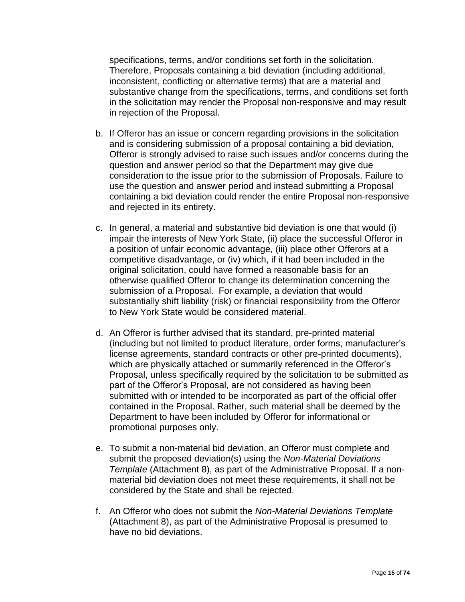specifications, terms, and/or conditions set forth in the solicitation. Therefore, Proposals containing a bid deviation (including additional, inconsistent, conflicting or alternative terms) that are a material and substantive change from the specifications, terms, and conditions set forth in the solicitation may render the Proposal non-responsive and may result in rejection of the Proposal.

- b. If Offeror has an issue or concern regarding provisions in the solicitation and is considering submission of a proposal containing a bid deviation, Offeror is strongly advised to raise such issues and/or concerns during the question and answer period so that the Department may give due consideration to the issue prior to the submission of Proposals. Failure to use the question and answer period and instead submitting a Proposal containing a bid deviation could render the entire Proposal non-responsive and rejected in its entirety.
- c. In general, a material and substantive bid deviation is one that would (i) impair the interests of New York State, (ii) place the successful Offeror in a position of unfair economic advantage, (iii) place other Offerors at a competitive disadvantage, or (iv) which, if it had been included in the original solicitation, could have formed a reasonable basis for an otherwise qualified Offeror to change its determination concerning the submission of a Proposal. For example, a deviation that would substantially shift liability (risk) or financial responsibility from the Offeror to New York State would be considered material.
- d. An Offeror is further advised that its standard, pre-printed material (including but not limited to product literature, order forms, manufacturer's license agreements, standard contracts or other pre-printed documents), which are physically attached or summarily referenced in the Offeror's Proposal, unless specifically required by the solicitation to be submitted as part of the Offeror's Proposal, are not considered as having been submitted with or intended to be incorporated as part of the official offer contained in the Proposal. Rather, such material shall be deemed by the Department to have been included by Offeror for informational or promotional purposes only.
- e. To submit a non-material bid deviation, an Offeror must complete and submit the proposed deviation(s) using the *Non-Material Deviations Template* (Attachment 8), as part of the Administrative Proposal. If a nonmaterial bid deviation does not meet these requirements, it shall not be considered by the State and shall be rejected.
- f. An Offeror who does not submit the *Non-Material Deviations Template* (Attachment 8), as part of the Administrative Proposal is presumed to have no bid deviations.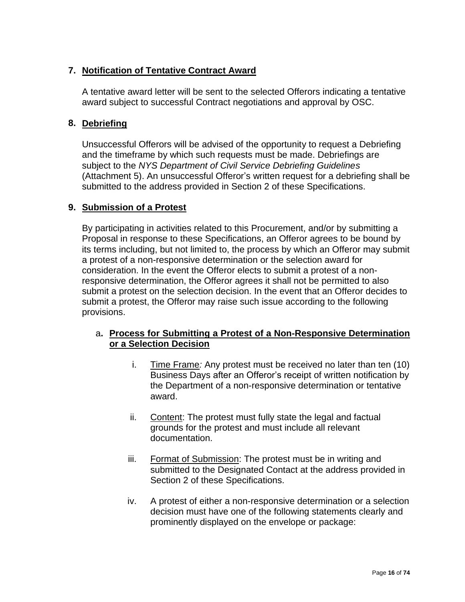## **7. Notification of Tentative Contract Award**

A tentative award letter will be sent to the selected Offerors indicating a tentative award subject to successful Contract negotiations and approval by OSC.

## **8. Debriefing**

Unsuccessful Offerors will be advised of the opportunity to request a Debriefing and the timeframe by which such requests must be made. Debriefings are subject to the *NYS Department of Civil Service Debriefing Guidelines* (Attachment 5). An unsuccessful Offeror's written request for a debriefing shall be submitted to the address provided in Section 2 of these Specifications.

## **9. Submission of a Protest**

By participating in activities related to this Procurement, and/or by submitting a Proposal in response to these Specifications, an Offeror agrees to be bound by its terms including, but not limited to, the process by which an Offeror may submit a protest of a non-responsive determination or the selection award for consideration. In the event the Offeror elects to submit a protest of a nonresponsive determination, the Offeror agrees it shall not be permitted to also submit a protest on the selection decision. In the event that an Offeror decides to submit a protest, the Offeror may raise such issue according to the following provisions.

## a**. Process for Submitting a Protest of a Non-Responsive Determination or a Selection Decision**

- i. Time Frame*:* Any protest must be received no later than ten (10) Business Days after an Offeror's receipt of written notification by the Department of a non-responsive determination or tentative award.
- ii. Content: The protest must fully state the legal and factual grounds for the protest and must include all relevant documentation.
- iii. Format of Submission: The protest must be in writing and submitted to the Designated Contact at the address provided in Section 2 of these Specifications.
- iv. A protest of either a non-responsive determination or a selection decision must have one of the following statements clearly and prominently displayed on the envelope or package: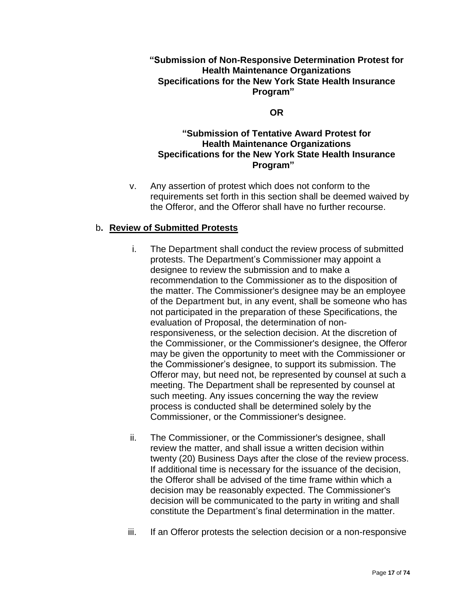### **"Submission of Non-Responsive Determination Protest for Health Maintenance Organizations Specifications for the New York State Health Insurance Program"**

#### **OR**

## **"Submission of Tentative Award Protest for Health Maintenance Organizations Specifications for the New York State Health Insurance Program"**

v. Any assertion of protest which does not conform to the requirements set forth in this section shall be deemed waived by the Offeror, and the Offeror shall have no further recourse.

## b**. Review of Submitted Protests**

- i. The Department shall conduct the review process of submitted protests. The Department's Commissioner may appoint a designee to review the submission and to make a recommendation to the Commissioner as to the disposition of the matter. The Commissioner's designee may be an employee of the Department but, in any event, shall be someone who has not participated in the preparation of these Specifications, the evaluation of Proposal, the determination of nonresponsiveness, or the selection decision. At the discretion of the Commissioner, or the Commissioner's designee, the Offeror may be given the opportunity to meet with the Commissioner or the Commissioner's designee, to support its submission. The Offeror may, but need not, be represented by counsel at such a meeting. The Department shall be represented by counsel at such meeting. Any issues concerning the way the review process is conducted shall be determined solely by the Commissioner, or the Commissioner's designee.
- ii. The Commissioner, or the Commissioner's designee, shall review the matter, and shall issue a written decision within twenty (20) Business Days after the close of the review process. If additional time is necessary for the issuance of the decision, the Offeror shall be advised of the time frame within which a decision may be reasonably expected. The Commissioner's decision will be communicated to the party in writing and shall constitute the Department's final determination in the matter.
- iii. If an Offeror protests the selection decision or a non-responsive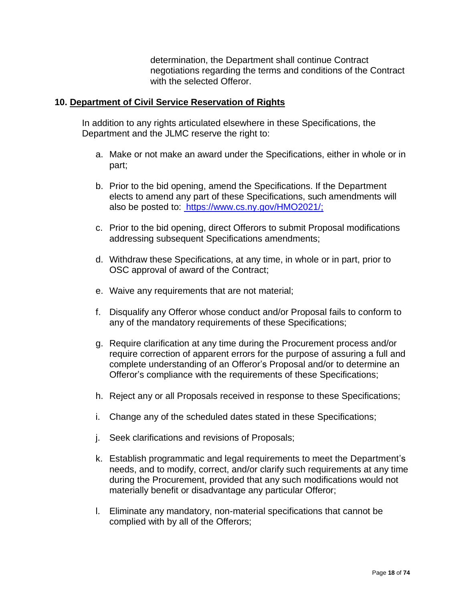determination, the Department shall continue Contract negotiations regarding the terms and conditions of the Contract with the selected Offeror.

#### **10. Department of Civil Service Reservation of Rights**

In addition to any rights articulated elsewhere in these Specifications, the Department and the JLMC reserve the right to:

- a. Make or not make an award under the Specifications, either in whole or in part;
- b. Prior to the bid opening, amend the Specifications. If the Department elects to amend any part of these Specifications, such amendments will also be posted to: <https://www.cs.ny.gov/HMO2021/;>
- c. Prior to the bid opening, direct Offerors to submit Proposal modifications addressing subsequent Specifications amendments;
- d. Withdraw these Specifications, at any time, in whole or in part, prior to OSC approval of award of the Contract;
- e. Waive any requirements that are not material;
- f. Disqualify any Offeror whose conduct and/or Proposal fails to conform to any of the mandatory requirements of these Specifications;
- g. Require clarification at any time during the Procurement process and/or require correction of apparent errors for the purpose of assuring a full and complete understanding of an Offeror's Proposal and/or to determine an Offeror's compliance with the requirements of these Specifications;
- h. Reject any or all Proposals received in response to these Specifications;
- i. Change any of the scheduled dates stated in these Specifications;
- j. Seek clarifications and revisions of Proposals;
- k. Establish programmatic and legal requirements to meet the Department's needs, and to modify, correct, and/or clarify such requirements at any time during the Procurement, provided that any such modifications would not materially benefit or disadvantage any particular Offeror;
- l. Eliminate any mandatory, non-material specifications that cannot be complied with by all of the Offerors;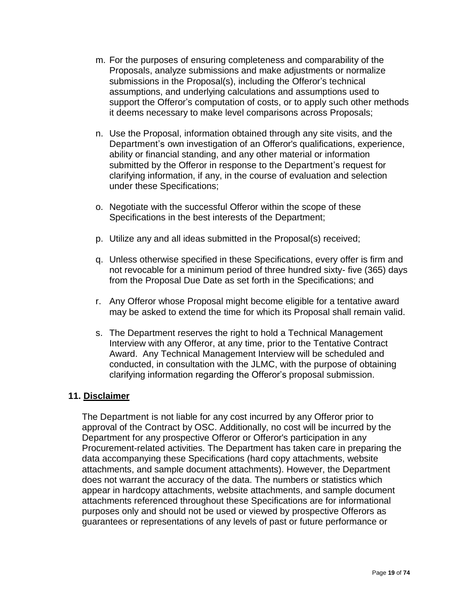- m. For the purposes of ensuring completeness and comparability of the Proposals, analyze submissions and make adjustments or normalize submissions in the Proposal(s), including the Offeror's technical assumptions, and underlying calculations and assumptions used to support the Offeror's computation of costs, or to apply such other methods it deems necessary to make level comparisons across Proposals;
- n. Use the Proposal, information obtained through any site visits, and the Department's own investigation of an Offeror's qualifications, experience, ability or financial standing, and any other material or information submitted by the Offeror in response to the Department's request for clarifying information, if any, in the course of evaluation and selection under these Specifications;
- o. Negotiate with the successful Offeror within the scope of these Specifications in the best interests of the Department;
- p. Utilize any and all ideas submitted in the Proposal(s) received;
- q. Unless otherwise specified in these Specifications, every offer is firm and not revocable for a minimum period of three hundred sixty- five (365) days from the Proposal Due Date as set forth in the Specifications; and
- r. Any Offeror whose Proposal might become eligible for a tentative award may be asked to extend the time for which its Proposal shall remain valid.
- s. The Department reserves the right to hold a Technical Management Interview with any Offeror, at any time, prior to the Tentative Contract Award. Any Technical Management Interview will be scheduled and conducted, in consultation with the JLMC, with the purpose of obtaining clarifying information regarding the Offeror's proposal submission.

#### **11. Disclaimer**

The Department is not liable for any cost incurred by any Offeror prior to approval of the Contract by OSC. Additionally, no cost will be incurred by the Department for any prospective Offeror or Offeror's participation in any Procurement-related activities. The Department has taken care in preparing the data accompanying these Specifications (hard copy attachments, website attachments, and sample document attachments). However, the Department does not warrant the accuracy of the data. The numbers or statistics which appear in hardcopy attachments, website attachments, and sample document attachments referenced throughout these Specifications are for informational purposes only and should not be used or viewed by prospective Offerors as guarantees or representations of any levels of past or future performance or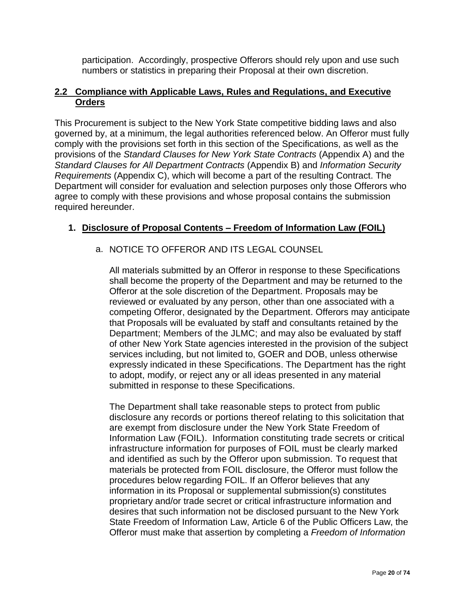participation. Accordingly, prospective Offerors should rely upon and use such numbers or statistics in preparing their Proposal at their own discretion.

## **2.2 Compliance with Applicable Laws, Rules and Regulations, and Executive Orders**

This Procurement is subject to the New York State competitive bidding laws and also governed by, at a minimum, the legal authorities referenced below. An Offeror must fully comply with the provisions set forth in this section of the Specifications, as well as the provisions of the *Standard Clauses for New York State Contracts* (Appendix A) and the *Standard Clauses for All Department Contracts* (Appendix B) and *Information Security Requirements* (Appendix C), which will become a part of the resulting Contract. The Department will consider for evaluation and selection purposes only those Offerors who agree to comply with these provisions and whose proposal contains the submission required hereunder.

## **1. Disclosure of Proposal Contents – Freedom of Information Law (FOIL)**

## a. NOTICE TO OFFEROR AND ITS LEGAL COUNSEL

All materials submitted by an Offeror in response to these Specifications shall become the property of the Department and may be returned to the Offeror at the sole discretion of the Department. Proposals may be reviewed or evaluated by any person, other than one associated with a competing Offeror, designated by the Department. Offerors may anticipate that Proposals will be evaluated by staff and consultants retained by the Department; Members of the JLMC; and may also be evaluated by staff of other New York State agencies interested in the provision of the subject services including, but not limited to, GOER and DOB, unless otherwise expressly indicated in these Specifications. The Department has the right to adopt, modify, or reject any or all ideas presented in any material submitted in response to these Specifications.

The Department shall take reasonable steps to protect from public disclosure any records or portions thereof relating to this solicitation that are exempt from disclosure under the New York State Freedom of Information Law (FOIL). Information constituting trade secrets or critical infrastructure information for purposes of FOIL must be clearly marked and identified as such by the Offeror upon submission. To request that materials be protected from FOIL disclosure, the Offeror must follow the procedures below regarding FOIL. If an Offeror believes that any information in its Proposal or supplemental submission(s) constitutes proprietary and/or trade secret or critical infrastructure information and desires that such information not be disclosed pursuant to the New York State Freedom of Information Law, Article 6 of the Public Officers Law, the Offeror must make that assertion by completing a *Freedom of Information*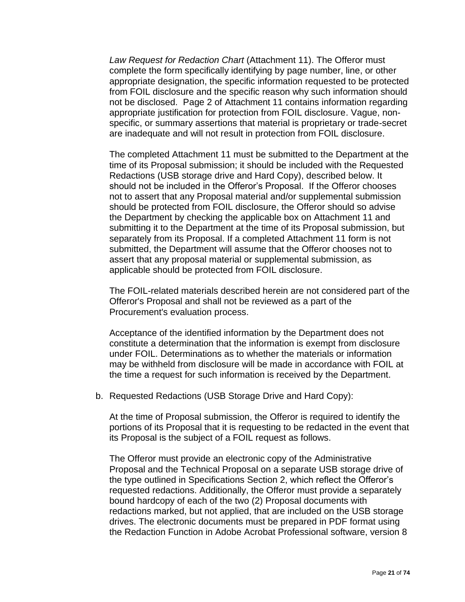*Law Request for Redaction Chart* (Attachment 11). The Offeror must complete the form specifically identifying by page number, line, or other appropriate designation, the specific information requested to be protected from FOIL disclosure and the specific reason why such information should not be disclosed. Page 2 of Attachment 11 contains information regarding appropriate justification for protection from FOIL disclosure. Vague, nonspecific, or summary assertions that material is proprietary or trade-secret are inadequate and will not result in protection from FOIL disclosure.

The completed Attachment 11 must be submitted to the Department at the time of its Proposal submission; it should be included with the Requested Redactions (USB storage drive and Hard Copy), described below. It should not be included in the Offeror's Proposal. If the Offeror chooses not to assert that any Proposal material and/or supplemental submission should be protected from FOIL disclosure, the Offeror should so advise the Department by checking the applicable box on Attachment 11 and submitting it to the Department at the time of its Proposal submission, but separately from its Proposal. If a completed Attachment 11 form is not submitted, the Department will assume that the Offeror chooses not to assert that any proposal material or supplemental submission, as applicable should be protected from FOIL disclosure.

The FOIL-related materials described herein are not considered part of the Offeror's Proposal and shall not be reviewed as a part of the Procurement's evaluation process.

Acceptance of the identified information by the Department does not constitute a determination that the information is exempt from disclosure under FOIL. Determinations as to whether the materials or information may be withheld from disclosure will be made in accordance with FOIL at the time a request for such information is received by the Department.

b. Requested Redactions (USB Storage Drive and Hard Copy):

At the time of Proposal submission, the Offeror is required to identify the portions of its Proposal that it is requesting to be redacted in the event that its Proposal is the subject of a FOIL request as follows.

The Offeror must provide an electronic copy of the Administrative Proposal and the Technical Proposal on a separate USB storage drive of the type outlined in Specifications Section 2, which reflect the Offeror's requested redactions. Additionally, the Offeror must provide a separately bound hardcopy of each of the two (2) Proposal documents with redactions marked, but not applied, that are included on the USB storage drives. The electronic documents must be prepared in PDF format using the Redaction Function in Adobe Acrobat Professional software, version 8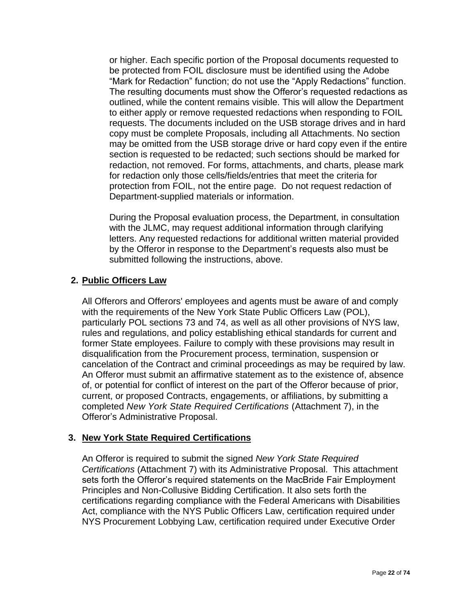or higher. Each specific portion of the Proposal documents requested to be protected from FOIL disclosure must be identified using the Adobe "Mark for Redaction" function; do not use the "Apply Redactions" function. The resulting documents must show the Offeror's requested redactions as outlined, while the content remains visible. This will allow the Department to either apply or remove requested redactions when responding to FOIL requests. The documents included on the USB storage drives and in hard copy must be complete Proposals, including all Attachments. No section may be omitted from the USB storage drive or hard copy even if the entire section is requested to be redacted; such sections should be marked for redaction, not removed. For forms, attachments, and charts, please mark for redaction only those cells/fields/entries that meet the criteria for protection from FOIL, not the entire page. Do not request redaction of Department-supplied materials or information.

During the Proposal evaluation process, the Department, in consultation with the JLMC, may request additional information through clarifying letters. Any requested redactions for additional written material provided by the Offeror in response to the Department's requests also must be submitted following the instructions, above.

## **2. Public Officers Law**

All Offerors and Offerors' employees and agents must be aware of and comply with the requirements of the New York State Public Officers Law (POL), particularly POL sections 73 and 74, as well as all other provisions of NYS law, rules and regulations, and policy establishing ethical standards for current and former State employees. Failure to comply with these provisions may result in disqualification from the Procurement process, termination, suspension or cancelation of the Contract and criminal proceedings as may be required by law. An Offeror must submit an affirmative statement as to the existence of, absence of, or potential for conflict of interest on the part of the Offeror because of prior, current, or proposed Contracts, engagements, or affiliations, by submitting a completed *New York State Required Certifications* (Attachment 7), in the Offeror's Administrative Proposal.

## **3. New York State Required Certifications**

An Offeror is required to submit the signed *New York State Required Certifications* (Attachment 7) with its Administrative Proposal. This attachment sets forth the Offeror's required statements on the MacBride Fair Employment Principles and Non-Collusive Bidding Certification. It also sets forth the certifications regarding compliance with the Federal Americans with Disabilities Act, compliance with the NYS Public Officers Law, certification required under NYS Procurement Lobbying Law, certification required under Executive Order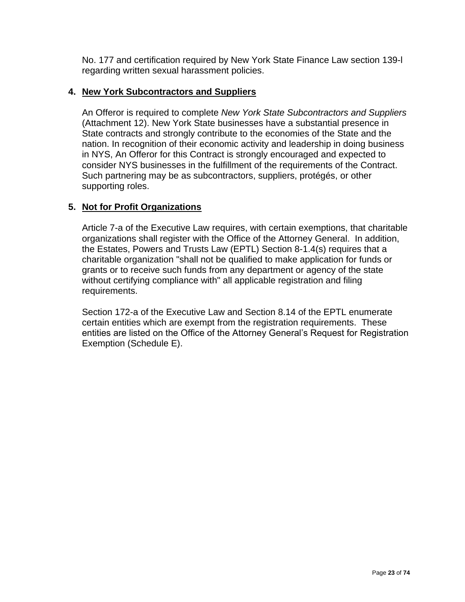No. 177 and certification required by New York State Finance Law section 139-l regarding written sexual harassment policies.

## **4. New York Subcontractors and Suppliers**

An Offeror is required to complete *New York State Subcontractors and Suppliers* (Attachment 12). New York State businesses have a substantial presence in State contracts and strongly contribute to the economies of the State and the nation. In recognition of their economic activity and leadership in doing business in NYS, An Offeror for this Contract is strongly encouraged and expected to consider NYS businesses in the fulfillment of the requirements of the Contract. Such partnering may be as subcontractors, suppliers, protégés, or other supporting roles.

## **5. Not for Profit Organizations**

Article 7-a of the Executive Law requires, with certain exemptions, that charitable organizations shall register with the Office of the Attorney General. In addition, the Estates, Powers and Trusts Law (EPTL) Section 8-1.4(s) requires that a charitable organization "shall not be qualified to make application for funds or grants or to receive such funds from any department or agency of the state without certifying compliance with" all applicable registration and filing requirements.

Section 172-a of the Executive Law and Section 8.14 of the EPTL enumerate certain entities which are exempt from the registration requirements. These entities are listed on the Office of the Attorney General's Request for Registration Exemption (Schedule E).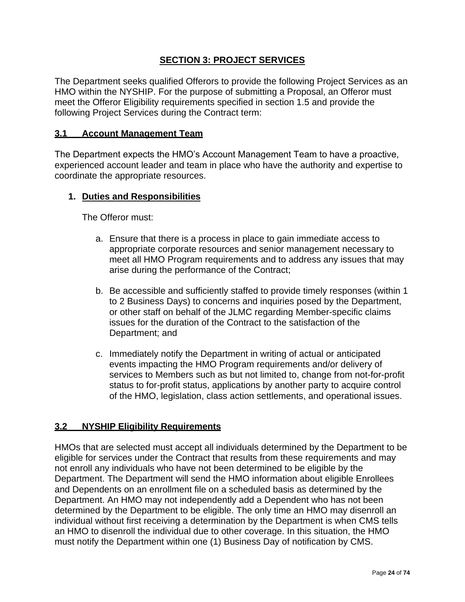## **SECTION 3: PROJECT SERVICES**

The Department seeks qualified Offerors to provide the following Project Services as an HMO within the NYSHIP. For the purpose of submitting a Proposal, an Offeror must meet the Offeror Eligibility requirements specified in section 1.5 and provide the following Project Services during the Contract term:

#### **3.1 Account Management Team**

The Department expects the HMO's Account Management Team to have a proactive, experienced account leader and team in place who have the authority and expertise to coordinate the appropriate resources.

#### **1. Duties and Responsibilities**

The Offeror must:

- a. Ensure that there is a process in place to gain immediate access to appropriate corporate resources and senior management necessary to meet all HMO Program requirements and to address any issues that may arise during the performance of the Contract;
- b. Be accessible and sufficiently staffed to provide timely responses (within 1 to 2 Business Days) to concerns and inquiries posed by the Department, or other staff on behalf of the JLMC regarding Member-specific claims issues for the duration of the Contract to the satisfaction of the Department; and
- c. Immediately notify the Department in writing of actual or anticipated events impacting the HMO Program requirements and/or delivery of services to Members such as but not limited to, change from not-for-profit status to for-profit status, applications by another party to acquire control of the HMO, legislation, class action settlements, and operational issues.

### **3.2 NYSHIP Eligibility Requirements**

HMOs that are selected must accept all individuals determined by the Department to be eligible for services under the Contract that results from these requirements and may not enroll any individuals who have not been determined to be eligible by the Department. The Department will send the HMO information about eligible Enrollees and Dependents on an enrollment file on a scheduled basis as determined by the Department. An HMO may not independently add a Dependent who has not been determined by the Department to be eligible. The only time an HMO may disenroll an individual without first receiving a determination by the Department is when CMS tells an HMO to disenroll the individual due to other coverage. In this situation, the HMO must notify the Department within one (1) Business Day of notification by CMS.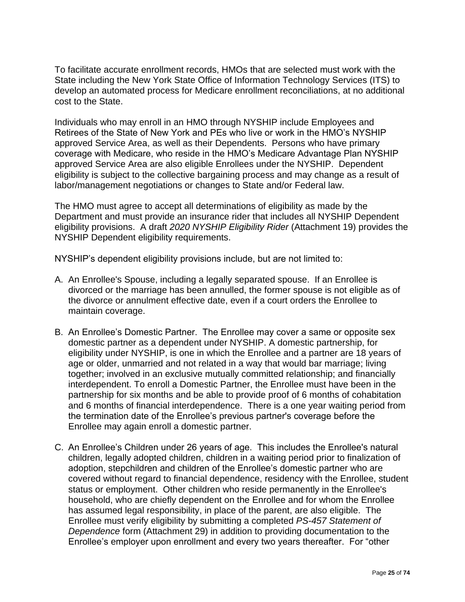To facilitate accurate enrollment records, HMOs that are selected must work with the State including the New York State Office of Information Technology Services (ITS) to develop an automated process for Medicare enrollment reconciliations, at no additional cost to the State.

Individuals who may enroll in an HMO through NYSHIP include Employees and Retirees of the State of New York and PEs who live or work in the HMO's NYSHIP approved Service Area, as well as their Dependents. Persons who have primary coverage with Medicare, who reside in the HMO's Medicare Advantage Plan NYSHIP approved Service Area are also eligible Enrollees under the NYSHIP. Dependent eligibility is subject to the collective bargaining process and may change as a result of labor/management negotiations or changes to State and/or Federal law.

The HMO must agree to accept all determinations of eligibility as made by the Department and must provide an insurance rider that includes all NYSHIP Dependent eligibility provisions. A draft *2020 NYSHIP Eligibility Rider* (Attachment 19) provides the NYSHIP Dependent eligibility requirements.

NYSHIP's dependent eligibility provisions include, but are not limited to:

- A. An Enrollee's Spouse, including a legally separated spouse. If an Enrollee is divorced or the marriage has been annulled, the former spouse is not eligible as of the divorce or annulment effective date, even if a court orders the Enrollee to maintain coverage.
- B. An Enrollee's Domestic Partner. The Enrollee may cover a same or opposite sex domestic partner as a dependent under NYSHIP. A domestic partnership, for eligibility under NYSHIP, is one in which the Enrollee and a partner are 18 years of age or older, unmarried and not related in a way that would bar marriage; living together; involved in an exclusive mutually committed relationship; and financially interdependent. To enroll a Domestic Partner, the Enrollee must have been in the partnership for six months and be able to provide proof of 6 months of cohabitation and 6 months of financial interdependence. There is a one year waiting period from the termination date of the Enrollee's previous partner's coverage before the Enrollee may again enroll a domestic partner.
- C. An Enrollee's Children under 26 years of age. This includes the Enrollee's natural children, legally adopted children, children in a waiting period prior to finalization of adoption, stepchildren and children of the Enrollee's domestic partner who are covered without regard to financial dependence, residency with the Enrollee, student status or employment. Other children who reside permanently in the Enrollee's household, who are chiefly dependent on the Enrollee and for whom the Enrollee has assumed legal responsibility, in place of the parent, are also eligible. The Enrollee must verify eligibility by submitting a completed *PS-457 Statement of Dependence* form (Attachment 29) in addition to providing documentation to the Enrollee's employer upon enrollment and every two years thereafter. For "other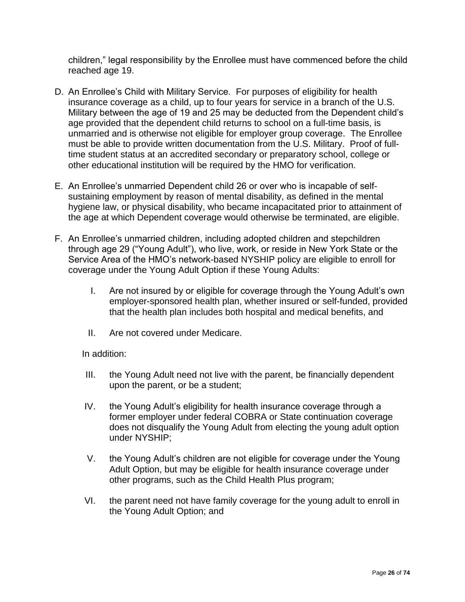children," legal responsibility by the Enrollee must have commenced before the child reached age 19.

- D. An Enrollee's Child with Military Service. For purposes of eligibility for health insurance coverage as a child, up to four years for service in a branch of the U.S. Military between the age of 19 and 25 may be deducted from the Dependent child's age provided that the dependent child returns to school on a full-time basis, is unmarried and is otherwise not eligible for employer group coverage. The Enrollee must be able to provide written documentation from the U.S. Military. Proof of fulltime student status at an accredited secondary or preparatory school, college or other educational institution will be required by the HMO for verification.
- E. An Enrollee's unmarried Dependent child 26 or over who is incapable of selfsustaining employment by reason of mental disability, as defined in the mental hygiene law, or physical disability, who became incapacitated prior to attainment of the age at which Dependent coverage would otherwise be terminated, are eligible.
- F. An Enrollee's unmarried children, including adopted children and stepchildren through age 29 ("Young Adult"), who live, work, or reside in New York State or the Service Area of the HMO's network-based NYSHIP policy are eligible to enroll for coverage under the Young Adult Option if these Young Adults:
	- I. Are not insured by or eligible for coverage through the Young Adult's own employer-sponsored health plan, whether insured or self-funded, provided that the health plan includes both hospital and medical benefits, and
	- II. Are not covered under Medicare.

In addition:

- III. the Young Adult need not live with the parent, be financially dependent upon the parent, or be a student;
- IV. the Young Adult's eligibility for health insurance coverage through a former employer under federal COBRA or State continuation coverage does not disqualify the Young Adult from electing the young adult option under NYSHIP;
- V. the Young Adult's children are not eligible for coverage under the Young Adult Option, but may be eligible for health insurance coverage under other programs, such as the Child Health Plus program;
- VI. the parent need not have family coverage for the young adult to enroll in the Young Adult Option; and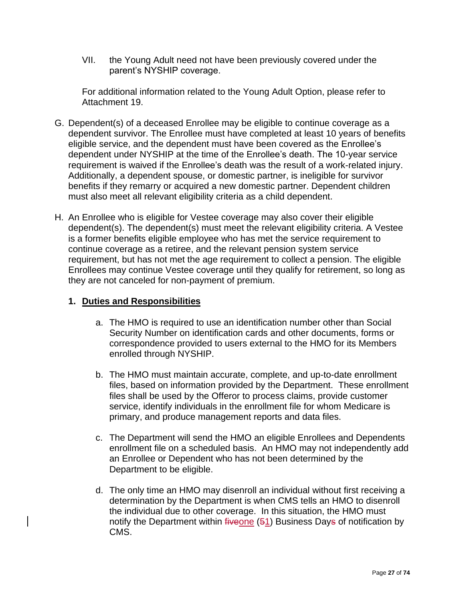VII. the Young Adult need not have been previously covered under the parent's NYSHIP coverage.

For additional information related to the Young Adult Option, please refer to Attachment 19.

- G. Dependent(s) of a deceased Enrollee may be eligible to continue coverage as a dependent survivor. The Enrollee must have completed at least 10 years of benefits eligible service, and the dependent must have been covered as the Enrollee's dependent under NYSHIP at the time of the Enrollee's death. The 10-year service requirement is waived if the Enrollee's death was the result of a work-related injury. Additionally, a dependent spouse, or domestic partner, is ineligible for survivor benefits if they remarry or acquired a new domestic partner. Dependent children must also meet all relevant eligibility criteria as a child dependent.
- H. An Enrollee who is eligible for Vestee coverage may also cover their eligible dependent(s). The dependent(s) must meet the relevant eligibility criteria. A Vestee is a former benefits eligible employee who has met the service requirement to continue coverage as a retiree, and the relevant pension system service requirement, but has not met the age requirement to collect a pension. The eligible Enrollees may continue Vestee coverage until they qualify for retirement, so long as they are not canceled for non-payment of premium.

## **1. Duties and Responsibilities**

- a. The HMO is required to use an identification number other than Social Security Number on identification cards and other documents, forms or correspondence provided to users external to the HMO for its Members enrolled through NYSHIP.
- b. The HMO must maintain accurate, complete, and up-to-date enrollment files, based on information provided by the Department. These enrollment files shall be used by the Offeror to process claims, provide customer service, identify individuals in the enrollment file for whom Medicare is primary, and produce management reports and data files.
- c. The Department will send the HMO an eligible Enrollees and Dependents enrollment file on a scheduled basis. An HMO may not independently add an Enrollee or Dependent who has not been determined by the Department to be eligible.
- d. The only time an HMO may disenroll an individual without first receiving a determination by the Department is when CMS tells an HMO to disenroll the individual due to other coverage. In this situation, the HMO must notify the Department within  $f$ iveone (51) Business Days of notification by CMS.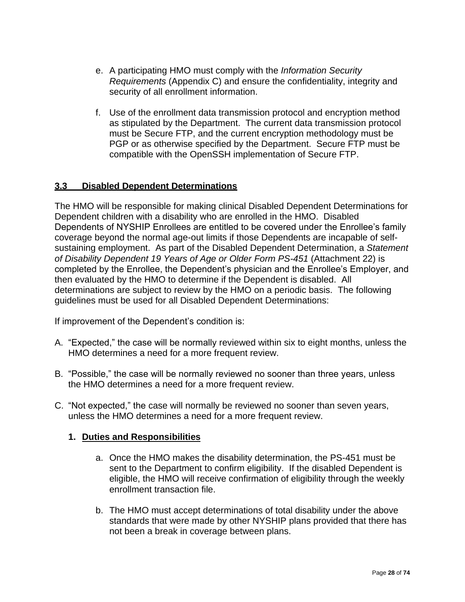- e. A participating HMO must comply with the *Information Security Requirements* (Appendix C) and ensure the confidentiality, integrity and security of all enrollment information.
- f. Use of the enrollment data transmission protocol and encryption method as stipulated by the Department. The current data transmission protocol must be Secure FTP, and the current encryption methodology must be PGP or as otherwise specified by the Department. Secure FTP must be compatible with the OpenSSH implementation of Secure FTP.

## **3.3 Disabled Dependent Determinations**

The HMO will be responsible for making clinical Disabled Dependent Determinations for Dependent children with a disability who are enrolled in the HMO. Disabled Dependents of NYSHIP Enrollees are entitled to be covered under the Enrollee's family coverage beyond the normal age-out limits if those Dependents are incapable of selfsustaining employment. As part of the Disabled Dependent Determination, a *Statement of Disability Dependent 19 Years of Age or Older Form PS-451* (Attachment 22) is completed by the Enrollee, the Dependent's physician and the Enrollee's Employer, and then evaluated by the HMO to determine if the Dependent is disabled. All determinations are subject to review by the HMO on a periodic basis. The following guidelines must be used for all Disabled Dependent Determinations:

If improvement of the Dependent's condition is:

- A. "Expected," the case will be normally reviewed within six to eight months, unless the HMO determines a need for a more frequent review.
- B. "Possible," the case will be normally reviewed no sooner than three years, unless the HMO determines a need for a more frequent review.
- C. "Not expected," the case will normally be reviewed no sooner than seven years, unless the HMO determines a need for a more frequent review.

### **1. Duties and Responsibilities**

- a. Once the HMO makes the disability determination, the PS-451 must be sent to the Department to confirm eligibility. If the disabled Dependent is eligible, the HMO will receive confirmation of eligibility through the weekly enrollment transaction file.
- b. The HMO must accept determinations of total disability under the above standards that were made by other NYSHIP plans provided that there has not been a break in coverage between plans.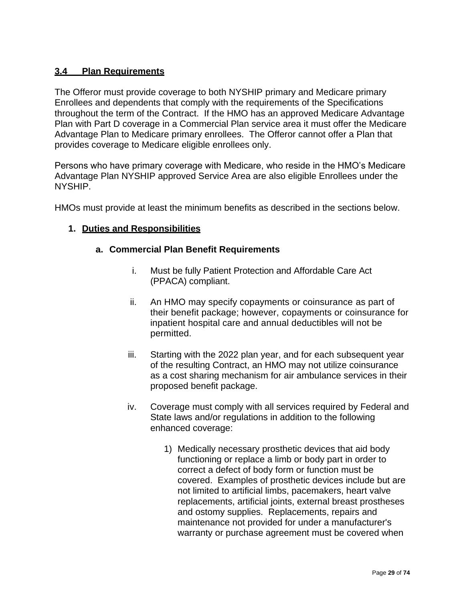## **3.4 Plan Requirements**

The Offeror must provide coverage to both NYSHIP primary and Medicare primary Enrollees and dependents that comply with the requirements of the Specifications throughout the term of the Contract. If the HMO has an approved Medicare Advantage Plan with Part D coverage in a Commercial Plan service area it must offer the Medicare Advantage Plan to Medicare primary enrollees. The Offeror cannot offer a Plan that provides coverage to Medicare eligible enrollees only.

Persons who have primary coverage with Medicare, who reside in the HMO's Medicare Advantage Plan NYSHIP approved Service Area are also eligible Enrollees under the NYSHIP.

HMOs must provide at least the minimum benefits as described in the sections below.

### **1. Duties and Responsibilities**

#### **a. Commercial Plan Benefit Requirements**

- i. Must be fully Patient Protection and Affordable Care Act (PPACA) compliant.
- ii. An HMO may specify copayments or coinsurance as part of their benefit package; however, copayments or coinsurance for inpatient hospital care and annual deductibles will not be permitted.
- iii. Starting with the 2022 plan year, and for each subsequent year of the resulting Contract, an HMO may not utilize coinsurance as a cost sharing mechanism for air ambulance services in their proposed benefit package.
- iv. Coverage must comply with all services required by Federal and State laws and/or regulations in addition to the following enhanced coverage:
	- 1) Medically necessary prosthetic devices that aid body functioning or replace a limb or body part in order to correct a defect of body form or function must be covered. Examples of prosthetic devices include but are not limited to artificial limbs, pacemakers, heart valve replacements, artificial joints, external breast prostheses and ostomy supplies. Replacements, repairs and maintenance not provided for under a manufacturer's warranty or purchase agreement must be covered when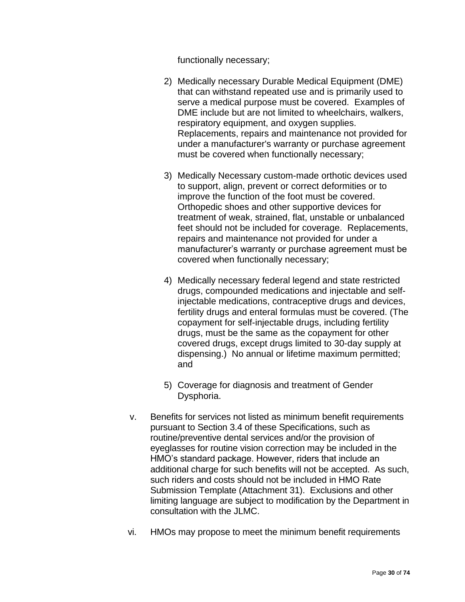functionally necessary;

- 2) Medically necessary Durable Medical Equipment (DME) that can withstand repeated use and is primarily used to serve a medical purpose must be covered. Examples of DME include but are not limited to wheelchairs, walkers, respiratory equipment, and oxygen supplies. Replacements, repairs and maintenance not provided for under a manufacturer's warranty or purchase agreement must be covered when functionally necessary;
- 3) Medically Necessary custom-made orthotic devices used to support, align, prevent or correct deformities or to improve the function of the foot must be covered. Orthopedic shoes and other supportive devices for treatment of weak, strained, flat, unstable or unbalanced feet should not be included for coverage. Replacements, repairs and maintenance not provided for under a manufacturer's warranty or purchase agreement must be covered when functionally necessary;
- 4) Medically necessary federal legend and state restricted drugs, compounded medications and injectable and selfinjectable medications, contraceptive drugs and devices, fertility drugs and enteral formulas must be covered. (The copayment for self-injectable drugs, including fertility drugs, must be the same as the copayment for other covered drugs, except drugs limited to 30-day supply at dispensing.) No annual or lifetime maximum permitted; and
- 5) Coverage for diagnosis and treatment of Gender Dysphoria.
- v. Benefits for services not listed as minimum benefit requirements pursuant to Section 3.4 of these Specifications, such as routine/preventive dental services and/or the provision of eyeglasses for routine vision correction may be included in the HMO's standard package. However, riders that include an additional charge for such benefits will not be accepted. As such, such riders and costs should not be included in HMO Rate Submission Template (Attachment 31). Exclusions and other limiting language are subject to modification by the Department in consultation with the JLMC.
- vi. HMOs may propose to meet the minimum benefit requirements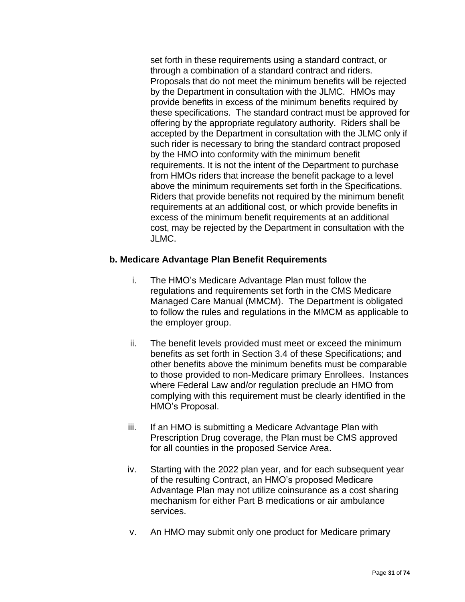set forth in these requirements using a standard contract, or through a combination of a standard contract and riders. Proposals that do not meet the minimum benefits will be rejected by the Department in consultation with the JLMC. HMOs may provide benefits in excess of the minimum benefits required by these specifications. The standard contract must be approved for offering by the appropriate regulatory authority. Riders shall be accepted by the Department in consultation with the JLMC only if such rider is necessary to bring the standard contract proposed by the HMO into conformity with the minimum benefit requirements. It is not the intent of the Department to purchase from HMOs riders that increase the benefit package to a level above the minimum requirements set forth in the Specifications. Riders that provide benefits not required by the minimum benefit requirements at an additional cost, or which provide benefits in excess of the minimum benefit requirements at an additional cost, may be rejected by the Department in consultation with the JLMC.

#### **b. Medicare Advantage Plan Benefit Requirements**

- i. The HMO's Medicare Advantage Plan must follow the regulations and requirements set forth in the CMS Medicare Managed Care Manual (MMCM). The Department is obligated to follow the rules and regulations in the MMCM as applicable to the employer group.
- ii. The benefit levels provided must meet or exceed the minimum benefits as set forth in Section 3.4 of these Specifications; and other benefits above the minimum benefits must be comparable to those provided to non-Medicare primary Enrollees. Instances where Federal Law and/or regulation preclude an HMO from complying with this requirement must be clearly identified in the HMO's Proposal.
- iii. If an HMO is submitting a Medicare Advantage Plan with Prescription Drug coverage, the Plan must be CMS approved for all counties in the proposed Service Area.
- iv. Starting with the 2022 plan year, and for each subsequent year of the resulting Contract, an HMO's proposed Medicare Advantage Plan may not utilize coinsurance as a cost sharing mechanism for either Part B medications or air ambulance services.
- v. An HMO may submit only one product for Medicare primary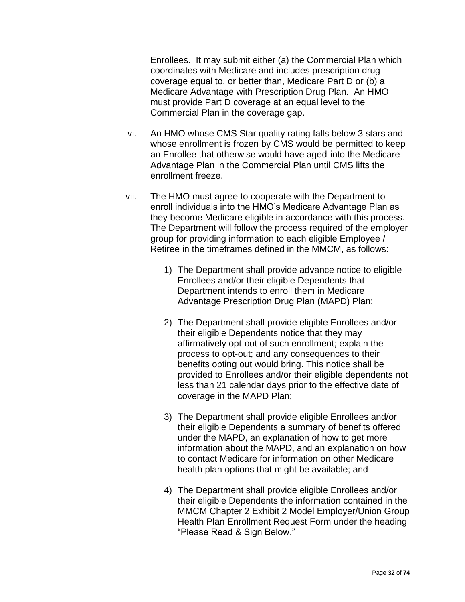Enrollees. It may submit either (a) the Commercial Plan which coordinates with Medicare and includes prescription drug coverage equal to, or better than, Medicare Part D or (b) a Medicare Advantage with Prescription Drug Plan. An HMO must provide Part D coverage at an equal level to the Commercial Plan in the coverage gap.

- vi. An HMO whose CMS Star quality rating falls below 3 stars and whose enrollment is frozen by CMS would be permitted to keep an Enrollee that otherwise would have aged-into the Medicare Advantage Plan in the Commercial Plan until CMS lifts the enrollment freeze.
- vii. The HMO must agree to cooperate with the Department to enroll individuals into the HMO's Medicare Advantage Plan as they become Medicare eligible in accordance with this process. The Department will follow the process required of the employer group for providing information to each eligible Employee / Retiree in the timeframes defined in the MMCM, as follows:
	- 1) The Department shall provide advance notice to eligible Enrollees and/or their eligible Dependents that Department intends to enroll them in Medicare Advantage Prescription Drug Plan (MAPD) Plan;
	- 2) The Department shall provide eligible Enrollees and/or their eligible Dependents notice that they may affirmatively opt-out of such enrollment; explain the process to opt-out; and any consequences to their benefits opting out would bring. This notice shall be provided to Enrollees and/or their eligible dependents not less than 21 calendar days prior to the effective date of coverage in the MAPD Plan;
	- 3) The Department shall provide eligible Enrollees and/or their eligible Dependents a summary of benefits offered under the MAPD, an explanation of how to get more information about the MAPD, and an explanation on how to contact Medicare for information on other Medicare health plan options that might be available; and
	- 4) The Department shall provide eligible Enrollees and/or their eligible Dependents the information contained in the MMCM Chapter 2 Exhibit 2 Model Employer/Union Group Health Plan Enrollment Request Form under the heading "Please Read & Sign Below."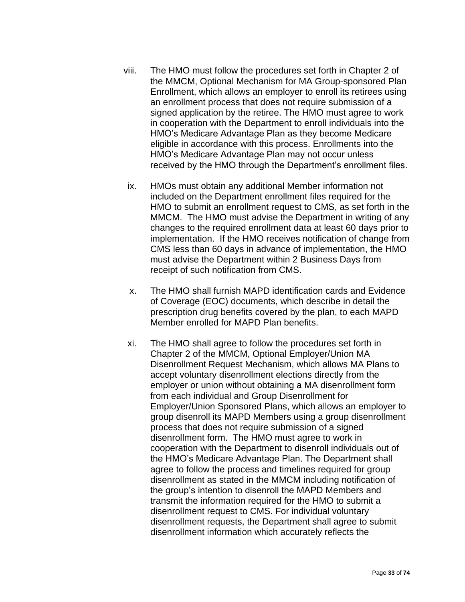- viii. The HMO must follow the procedures set forth in Chapter 2 of the MMCM, Optional Mechanism for MA Group-sponsored Plan Enrollment, which allows an employer to enroll its retirees using an enrollment process that does not require submission of a signed application by the retiree. The HMO must agree to work in cooperation with the Department to enroll individuals into the HMO's Medicare Advantage Plan as they become Medicare eligible in accordance with this process. Enrollments into the HMO's Medicare Advantage Plan may not occur unless received by the HMO through the Department's enrollment files.
- ix. HMOs must obtain any additional Member information not included on the Department enrollment files required for the HMO to submit an enrollment request to CMS, as set forth in the MMCM. The HMO must advise the Department in writing of any changes to the required enrollment data at least 60 days prior to implementation. If the HMO receives notification of change from CMS less than 60 days in advance of implementation, the HMO must advise the Department within 2 Business Days from receipt of such notification from CMS.
- x. The HMO shall furnish MAPD identification cards and Evidence of Coverage (EOC) documents, which describe in detail the prescription drug benefits covered by the plan, to each MAPD Member enrolled for MAPD Plan benefits.
- xi. The HMO shall agree to follow the procedures set forth in Chapter 2 of the MMCM, Optional Employer/Union MA Disenrollment Request Mechanism, which allows MA Plans to accept voluntary disenrollment elections directly from the employer or union without obtaining a MA disenrollment form from each individual and Group Disenrollment for Employer/Union Sponsored Plans, which allows an employer to group disenroll its MAPD Members using a group disenrollment process that does not require submission of a signed disenrollment form. The HMO must agree to work in cooperation with the Department to disenroll individuals out of the HMO's Medicare Advantage Plan. The Department shall agree to follow the process and timelines required for group disenrollment as stated in the MMCM including notification of the group's intention to disenroll the MAPD Members and transmit the information required for the HMO to submit a disenrollment request to CMS. For individual voluntary disenrollment requests, the Department shall agree to submit disenrollment information which accurately reflects the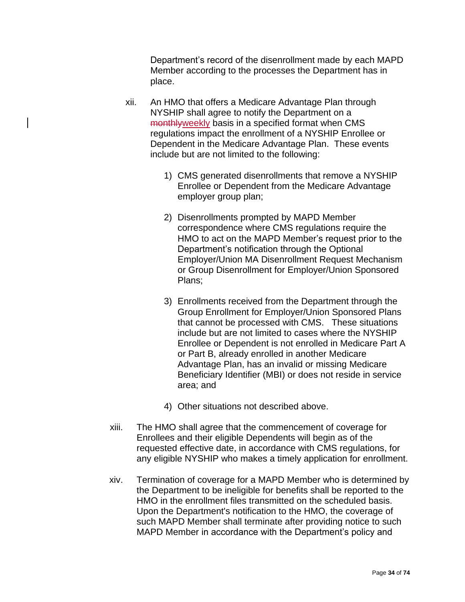Department's record of the disenrollment made by each MAPD Member according to the processes the Department has in place.

- xii. An HMO that offers a Medicare Advantage Plan through NYSHIP shall agree to notify the Department on a monthlyweekly basis in a specified format when CMS regulations impact the enrollment of a NYSHIP Enrollee or Dependent in the Medicare Advantage Plan. These events include but are not limited to the following:
	- 1) CMS generated disenrollments that remove a NYSHIP Enrollee or Dependent from the Medicare Advantage employer group plan;
	- 2) Disenrollments prompted by MAPD Member correspondence where CMS regulations require the HMO to act on the MAPD Member's request prior to the Department's notification through the Optional Employer/Union MA Disenrollment Request Mechanism or Group Disenrollment for Employer/Union Sponsored Plans;
	- 3) Enrollments received from the Department through the Group Enrollment for Employer/Union Sponsored Plans that cannot be processed with CMS. These situations include but are not limited to cases where the NYSHIP Enrollee or Dependent is not enrolled in Medicare Part A or Part B, already enrolled in another Medicare Advantage Plan, has an invalid or missing Medicare Beneficiary Identifier (MBI) or does not reside in service area; and
	- 4) Other situations not described above.
- xiii. The HMO shall agree that the commencement of coverage for Enrollees and their eligible Dependents will begin as of the requested effective date, in accordance with CMS regulations, for any eligible NYSHIP who makes a timely application for enrollment.
- xiv. Termination of coverage for a MAPD Member who is determined by the Department to be ineligible for benefits shall be reported to the HMO in the enrollment files transmitted on the scheduled basis. Upon the Department's notification to the HMO, the coverage of such MAPD Member shall terminate after providing notice to such MAPD Member in accordance with the Department's policy and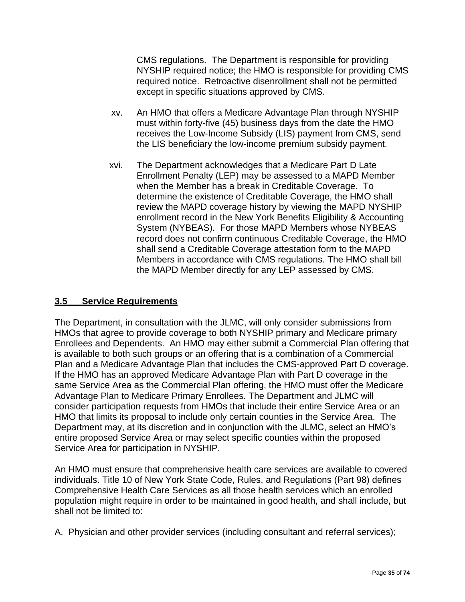CMS regulations. The Department is responsible for providing NYSHIP required notice; the HMO is responsible for providing CMS required notice. Retroactive disenrollment shall not be permitted except in specific situations approved by CMS.

- xv. An HMO that offers a Medicare Advantage Plan through NYSHIP must within forty-five (45) business days from the date the HMO receives the Low-Income Subsidy (LIS) payment from CMS, send the LIS beneficiary the low-income premium subsidy payment.
- xvi. The Department acknowledges that a Medicare Part D Late Enrollment Penalty (LEP) may be assessed to a MAPD Member when the Member has a break in Creditable Coverage. To determine the existence of Creditable Coverage, the HMO shall review the MAPD coverage history by viewing the MAPD NYSHIP enrollment record in the New York Benefits Eligibility & Accounting System (NYBEAS). For those MAPD Members whose NYBEAS record does not confirm continuous Creditable Coverage, the HMO shall send a Creditable Coverage attestation form to the MAPD Members in accordance with CMS regulations. The HMO shall bill the MAPD Member directly for any LEP assessed by CMS.

## **3.5 Service Requirements**

The Department, in consultation with the JLMC, will only consider submissions from HMOs that agree to provide coverage to both NYSHIP primary and Medicare primary Enrollees and Dependents. An HMO may either submit a Commercial Plan offering that is available to both such groups or an offering that is a combination of a Commercial Plan and a Medicare Advantage Plan that includes the CMS-approved Part D coverage. If the HMO has an approved Medicare Advantage Plan with Part D coverage in the same Service Area as the Commercial Plan offering, the HMO must offer the Medicare Advantage Plan to Medicare Primary Enrollees. The Department and JLMC will consider participation requests from HMOs that include their entire Service Area or an HMO that limits its proposal to include only certain counties in the Service Area. The Department may, at its discretion and in conjunction with the JLMC, select an HMO's entire proposed Service Area or may select specific counties within the proposed Service Area for participation in NYSHIP.

An HMO must ensure that comprehensive health care services are available to covered individuals. Title 10 of New York State Code, Rules, and Regulations (Part 98) defines Comprehensive Health Care Services as all those health services which an enrolled population might require in order to be maintained in good health, and shall include, but shall not be limited to:

A. Physician and other provider services (including consultant and referral services);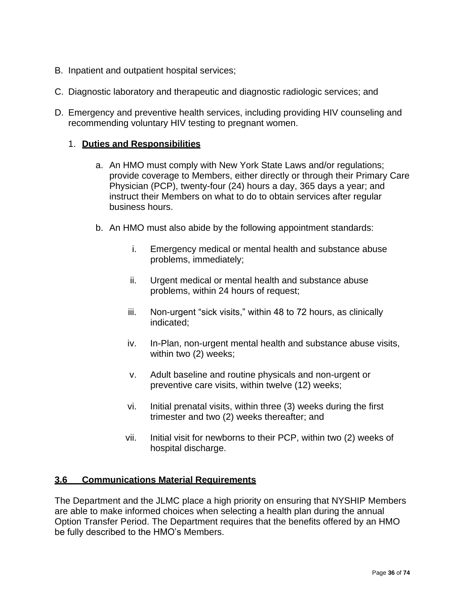- B. Inpatient and outpatient hospital services;
- C. Diagnostic laboratory and therapeutic and diagnostic radiologic services; and
- D. Emergency and preventive health services, including providing HIV counseling and recommending voluntary HIV testing to pregnant women.

### 1. **Duties and Responsibilities**

- a. An HMO must comply with New York State Laws and/or regulations; provide coverage to Members, either directly or through their Primary Care Physician (PCP), twenty-four (24) hours a day, 365 days a year; and instruct their Members on what to do to obtain services after regular business hours.
- b. An HMO must also abide by the following appointment standards:
	- i. Emergency medical or mental health and substance abuse problems, immediately;
	- ii. Urgent medical or mental health and substance abuse problems, within 24 hours of request;
	- iii. Non-urgent "sick visits," within 48 to 72 hours, as clinically indicated;
	- iv. In-Plan, non-urgent mental health and substance abuse visits, within two (2) weeks;
	- v. Adult baseline and routine physicals and non-urgent or preventive care visits, within twelve (12) weeks;
	- vi. Initial prenatal visits, within three (3) weeks during the first trimester and two (2) weeks thereafter; and
	- vii. Initial visit for newborns to their PCP, within two (2) weeks of hospital discharge.

### **3.6 Communications Material Requirements**

The Department and the JLMC place a high priority on ensuring that NYSHIP Members are able to make informed choices when selecting a health plan during the annual Option Transfer Period. The Department requires that the benefits offered by an HMO be fully described to the HMO's Members.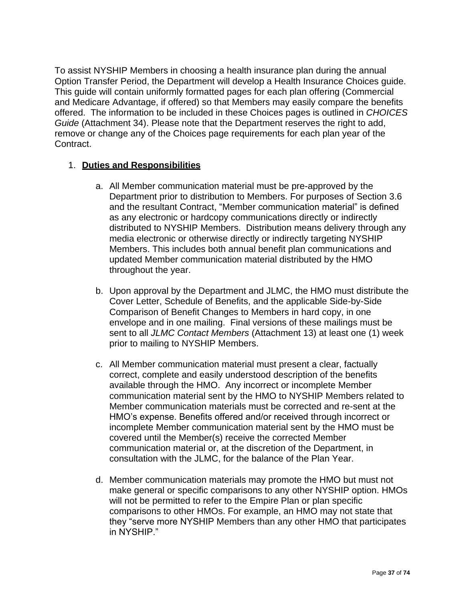To assist NYSHIP Members in choosing a health insurance plan during the annual Option Transfer Period, the Department will develop a Health Insurance Choices guide. This guide will contain uniformly formatted pages for each plan offering (Commercial and Medicare Advantage, if offered) so that Members may easily compare the benefits offered. The information to be included in these Choices pages is outlined in *CHOICES Guide* (Attachment 34). Please note that the Department reserves the right to add, remove or change any of the Choices page requirements for each plan year of the Contract.

# 1. **Duties and Responsibilities**

- a. All Member communication material must be pre-approved by the Department prior to distribution to Members. For purposes of Section 3.6 and the resultant Contract, "Member communication material" is defined as any electronic or hardcopy communications directly or indirectly distributed to NYSHIP Members. Distribution means delivery through any media electronic or otherwise directly or indirectly targeting NYSHIP Members. This includes both annual benefit plan communications and updated Member communication material distributed by the HMO throughout the year.
- b. Upon approval by the Department and JLMC, the HMO must distribute the Cover Letter, Schedule of Benefits, and the applicable Side-by-Side Comparison of Benefit Changes to Members in hard copy, in one envelope and in one mailing. Final versions of these mailings must be sent to all *JLMC Contact Members* (Attachment 13) at least one (1) week prior to mailing to NYSHIP Members.
- c. All Member communication material must present a clear, factually correct, complete and easily understood description of the benefits available through the HMO. Any incorrect or incomplete Member communication material sent by the HMO to NYSHIP Members related to Member communication materials must be corrected and re-sent at the HMO's expense. Benefits offered and/or received through incorrect or incomplete Member communication material sent by the HMO must be covered until the Member(s) receive the corrected Member communication material or, at the discretion of the Department, in consultation with the JLMC, for the balance of the Plan Year.
- d. Member communication materials may promote the HMO but must not make general or specific comparisons to any other NYSHIP option. HMOs will not be permitted to refer to the Empire Plan or plan specific comparisons to other HMOs. For example, an HMO may not state that they "serve more NYSHIP Members than any other HMO that participates in NYSHIP."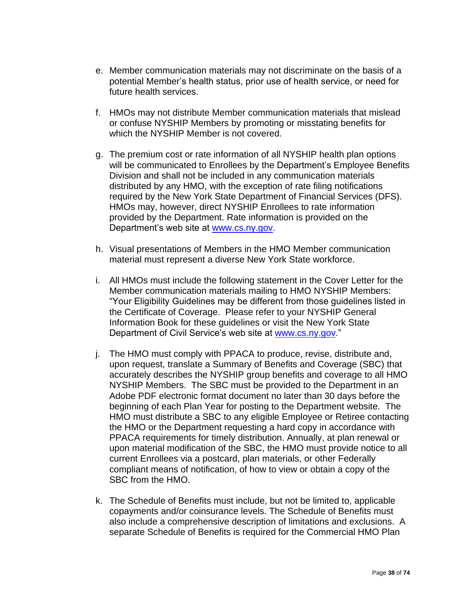- e. Member communication materials may not discriminate on the basis of a potential Member's health status, prior use of health service, or need for future health services.
- f. HMOs may not distribute Member communication materials that mislead or confuse NYSHIP Members by promoting or misstating benefits for which the NYSHIP Member is not covered.
- g. The premium cost or rate information of all NYSHIP health plan options will be communicated to Enrollees by the Department's Employee Benefits Division and shall not be included in any communication materials distributed by any HMO, with the exception of rate filing notifications required by the New York State Department of Financial Services (DFS). HMOs may, however, direct NYSHIP Enrollees to rate information provided by the Department. Rate information is provided on the Department's web site at [www.cs.ny.gov.](http://www.cs.ny.gov/)
- h. Visual presentations of Members in the HMO Member communication material must represent a diverse New York State workforce.
- i. All HMOs must include the following statement in the Cover Letter for the Member communication materials mailing to HMO NYSHIP Members: "Your Eligibility Guidelines may be different from those guidelines listed in the Certificate of Coverage. Please refer to your NYSHIP General Information Book for these guidelines or visit the New York State Department of Civil Service's web site at [www.cs.ny.gov.](http://www.cs.ny.gov/)"
- j. The HMO must comply with PPACA to produce, revise, distribute and, upon request, translate a Summary of Benefits and Coverage (SBC) that accurately describes the NYSHIP group benefits and coverage to all HMO NYSHIP Members. The SBC must be provided to the Department in an Adobe PDF electronic format document no later than 30 days before the beginning of each Plan Year for posting to the Department website. The HMO must distribute a SBC to any eligible Employee or Retiree contacting the HMO or the Department requesting a hard copy in accordance with PPACA requirements for timely distribution. Annually, at plan renewal or upon material modification of the SBC, the HMO must provide notice to all current Enrollees via a postcard, plan materials, or other Federally compliant means of notification, of how to view or obtain a copy of the SBC from the HMO.
- k. The Schedule of Benefits must include, but not be limited to, applicable copayments and/or coinsurance levels. The Schedule of Benefits must also include a comprehensive description of limitations and exclusions. A separate Schedule of Benefits is required for the Commercial HMO Plan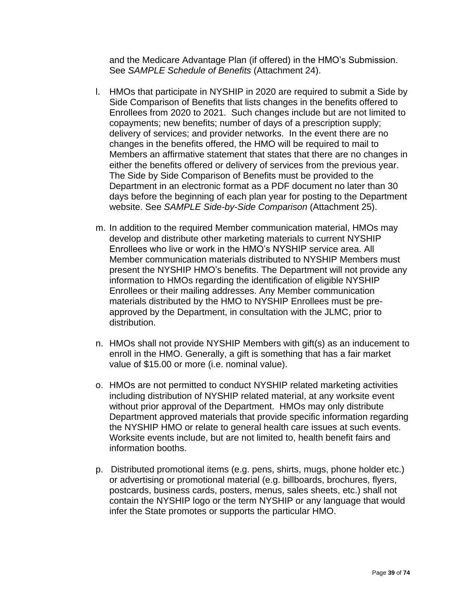and the Medicare Advantage Plan (if offered) in the HMO's Submission. See *SAMPLE Schedule of Benefits* (Attachment 24).

- l. HMOs that participate in NYSHIP in 2020 are required to submit a Side by Side Comparison of Benefits that lists changes in the benefits offered to Enrollees from 2020 to 2021. Such changes include but are not limited to copayments; new benefits; number of days of a prescription supply; delivery of services; and provider networks. In the event there are no changes in the benefits offered, the HMO will be required to mail to Members an affirmative statement that states that there are no changes in either the benefits offered or delivery of services from the previous year. The Side by Side Comparison of Benefits must be provided to the Department in an electronic format as a PDF document no later than 30 days before the beginning of each plan year for posting to the Department website. See *SAMPLE Side-by-Side Comparison* (Attachment 25).
- m. In addition to the required Member communication material, HMOs may develop and distribute other marketing materials to current NYSHIP Enrollees who live or work in the HMO's NYSHIP service area. All Member communication materials distributed to NYSHIP Members must present the NYSHIP HMO's benefits. The Department will not provide any information to HMOs regarding the identification of eligible NYSHIP Enrollees or their mailing addresses. Any Member communication materials distributed by the HMO to NYSHIP Enrollees must be preapproved by the Department, in consultation with the JLMC, prior to distribution.
- n. HMOs shall not provide NYSHIP Members with gift(s) as an inducement to enroll in the HMO. Generally, a gift is something that has a fair market value of \$15.00 or more (i.e. nominal value).
- o. HMOs are not permitted to conduct NYSHIP related marketing activities including distribution of NYSHIP related material, at any worksite event without prior approval of the Department. HMOs may only distribute Department approved materials that provide specific information regarding the NYSHIP HMO or relate to general health care issues at such events. Worksite events include, but are not limited to, health benefit fairs and information booths.
- p. Distributed promotional items (e.g. pens, shirts, mugs, phone holder etc.) or advertising or promotional material (e.g. billboards, brochures, flyers, postcards, business cards, posters, menus, sales sheets, etc.) shall not contain the NYSHIP logo or the term NYSHIP or any language that would infer the State promotes or supports the particular HMO.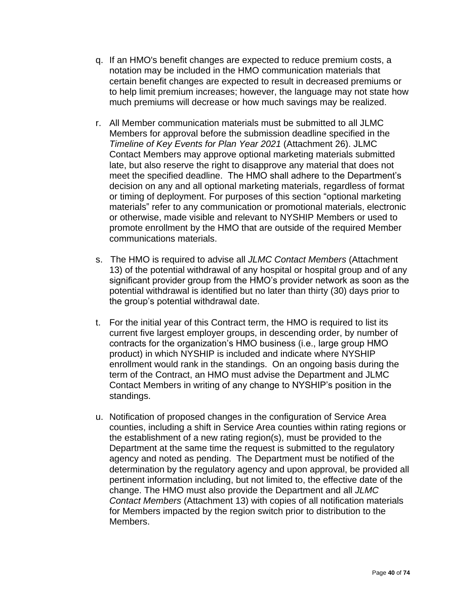- q. If an HMO's benefit changes are expected to reduce premium costs, a notation may be included in the HMO communication materials that certain benefit changes are expected to result in decreased premiums or to help limit premium increases; however, the language may not state how much premiums will decrease or how much savings may be realized.
- r. All Member communication materials must be submitted to all JLMC Members for approval before the submission deadline specified in the *Timeline of Key Events for Plan Year 2021* (Attachment 26). JLMC Contact Members may approve optional marketing materials submitted late, but also reserve the right to disapprove any material that does not meet the specified deadline. The HMO shall adhere to the Department's decision on any and all optional marketing materials, regardless of format or timing of deployment. For purposes of this section "optional marketing materials" refer to any communication or promotional materials, electronic or otherwise, made visible and relevant to NYSHIP Members or used to promote enrollment by the HMO that are outside of the required Member communications materials.
- s. The HMO is required to advise all *JLMC Contact Members* (Attachment 13) of the potential withdrawal of any hospital or hospital group and of any significant provider group from the HMO's provider network as soon as the potential withdrawal is identified but no later than thirty (30) days prior to the group's potential withdrawal date.
- t. For the initial year of this Contract term, the HMO is required to list its current five largest employer groups, in descending order, by number of contracts for the organization's HMO business (i.e., large group HMO product) in which NYSHIP is included and indicate where NYSHIP enrollment would rank in the standings. On an ongoing basis during the term of the Contract, an HMO must advise the Department and JLMC Contact Members in writing of any change to NYSHIP's position in the standings.
- u. Notification of proposed changes in the configuration of Service Area counties, including a shift in Service Area counties within rating regions or the establishment of a new rating region(s), must be provided to the Department at the same time the request is submitted to the regulatory agency and noted as pending. The Department must be notified of the determination by the regulatory agency and upon approval, be provided all pertinent information including, but not limited to, the effective date of the change. The HMO must also provide the Department and all *JLMC Contact Members* (Attachment 13) with copies of all notification materials for Members impacted by the region switch prior to distribution to the Members.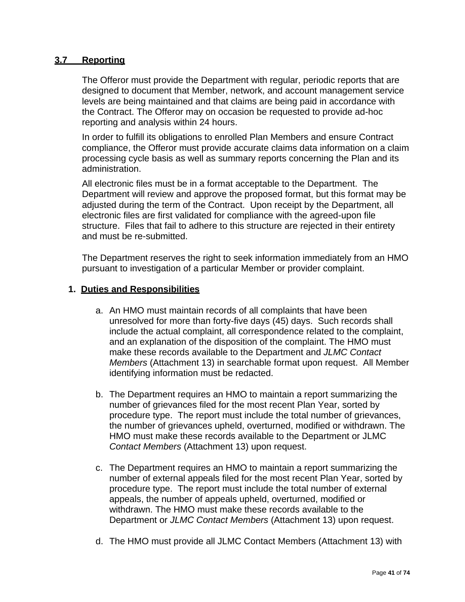#### **3.7 Reporting**

The Offeror must provide the Department with regular, periodic reports that are designed to document that Member, network, and account management service levels are being maintained and that claims are being paid in accordance with the Contract. The Offeror may on occasion be requested to provide ad-hoc reporting and analysis within 24 hours.

In order to fulfill its obligations to enrolled Plan Members and ensure Contract compliance, the Offeror must provide accurate claims data information on a claim processing cycle basis as well as summary reports concerning the Plan and its administration.

All electronic files must be in a format acceptable to the Department. The Department will review and approve the proposed format, but this format may be adjusted during the term of the Contract. Upon receipt by the Department, all electronic files are first validated for compliance with the agreed-upon file structure. Files that fail to adhere to this structure are rejected in their entirety and must be re-submitted.

The Department reserves the right to seek information immediately from an HMO pursuant to investigation of a particular Member or provider complaint.

#### **1. Duties and Responsibilities**

- a. An HMO must maintain records of all complaints that have been unresolved for more than forty-five days (45) days. Such records shall include the actual complaint, all correspondence related to the complaint, and an explanation of the disposition of the complaint. The HMO must make these records available to the Department and *JLMC Contact Members* (Attachment 13) in searchable format upon request. All Member identifying information must be redacted.
- b. The Department requires an HMO to maintain a report summarizing the number of grievances filed for the most recent Plan Year, sorted by procedure type. The report must include the total number of grievances, the number of grievances upheld, overturned, modified or withdrawn. The HMO must make these records available to the Department or JLMC *Contact Members* (Attachment 13) upon request.
- c. The Department requires an HMO to maintain a report summarizing the number of external appeals filed for the most recent Plan Year, sorted by procedure type. The report must include the total number of external appeals, the number of appeals upheld, overturned, modified or withdrawn. The HMO must make these records available to the Department or *JLMC Contact Members* (Attachment 13) upon request.
- d. The HMO must provide all JLMC Contact Members (Attachment 13) with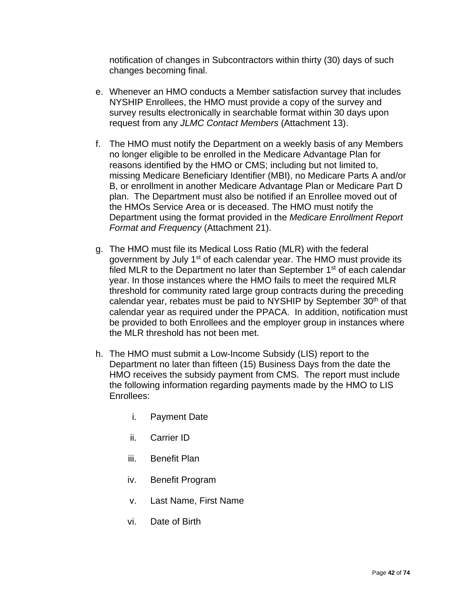notification of changes in Subcontractors within thirty (30) days of such changes becoming final.

- e. Whenever an HMO conducts a Member satisfaction survey that includes NYSHIP Enrollees, the HMO must provide a copy of the survey and survey results electronically in searchable format within 30 days upon request from any *JLMC Contact Members* (Attachment 13).
- f. The HMO must notify the Department on a weekly basis of any Members no longer eligible to be enrolled in the Medicare Advantage Plan for reasons identified by the HMO or CMS; including but not limited to, missing Medicare Beneficiary Identifier (MBI), no Medicare Parts A and/or B, or enrollment in another Medicare Advantage Plan or Medicare Part D plan. The Department must also be notified if an Enrollee moved out of the HMOs Service Area or is deceased. The HMO must notify the Department using the format provided in the *Medicare Enrollment Report Format and Frequency* (Attachment 21).
- g. The HMO must file its Medical Loss Ratio (MLR) with the federal government by July 1<sup>st</sup> of each calendar year. The HMO must provide its filed MLR to the Department no later than September 1<sup>st</sup> of each calendar year. In those instances where the HMO fails to meet the required MLR threshold for community rated large group contracts during the preceding calendar year, rebates must be paid to NYSHIP by September 30<sup>th</sup> of that calendar year as required under the PPACA. In addition, notification must be provided to both Enrollees and the employer group in instances where the MLR threshold has not been met.
- h. The HMO must submit a Low-Income Subsidy (LIS) report to the Department no later than fifteen (15) Business Days from the date the HMO receives the subsidy payment from CMS. The report must include the following information regarding payments made by the HMO to LIS Enrollees:
	- i. Payment Date
	- ii. Carrier ID
	- iii. Benefit Plan
	- iv. Benefit Program
	- v. Last Name, First Name
	- vi. Date of Birth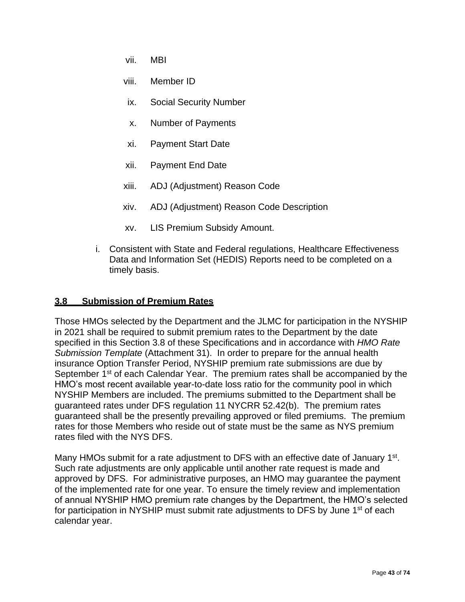- vii. MBI
- viii. Member ID
- ix. Social Security Number
- x. Number of Payments
- xi. Payment Start Date
- xii. Payment End Date
- xiii. ADJ (Adjustment) Reason Code
- xiv. ADJ (Adjustment) Reason Code Description
- xv. LIS Premium Subsidy Amount.
- i. Consistent with State and Federal regulations, Healthcare Effectiveness Data and Information Set (HEDIS) Reports need to be completed on a timely basis.

## **3.8 Submission of Premium Rates**

Those HMOs selected by the Department and the JLMC for participation in the NYSHIP in 2021 shall be required to submit premium rates to the Department by the date specified in this Section 3.8 of these Specifications and in accordance with *HMO Rate Submission Template* (Attachment 31). In order to prepare for the annual health insurance Option Transfer Period, NYSHIP premium rate submissions are due by September 1<sup>st</sup> of each Calendar Year. The premium rates shall be accompanied by the HMO's most recent available year-to-date loss ratio for the community pool in which NYSHIP Members are included. The premiums submitted to the Department shall be guaranteed rates under DFS regulation 11 NYCRR 52.42(b). The premium rates guaranteed shall be the presently prevailing approved or filed premiums. The premium rates for those Members who reside out of state must be the same as NYS premium rates filed with the NYS DFS.

Many HMOs submit for a rate adjustment to DFS with an effective date of January 1<sup>st</sup>. Such rate adjustments are only applicable until another rate request is made and approved by DFS. For administrative purposes, an HMO may guarantee the payment of the implemented rate for one year. To ensure the timely review and implementation of annual NYSHIP HMO premium rate changes by the Department, the HMO's selected for participation in NYSHIP must submit rate adjustments to DFS by June 1<sup>st</sup> of each calendar year.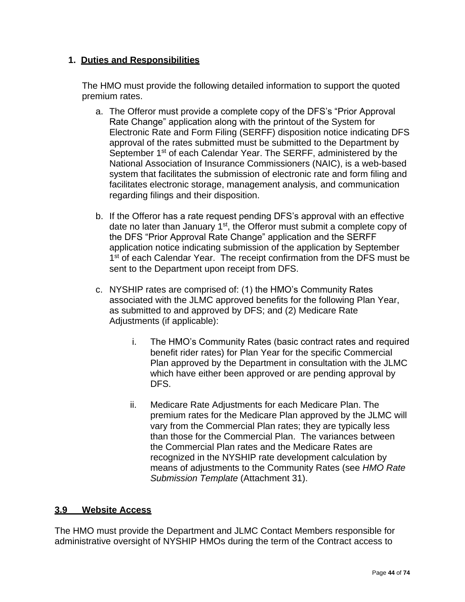# **1. Duties and Responsibilities**

The HMO must provide the following detailed information to support the quoted premium rates.

- a. The Offeror must provide a complete copy of the DFS's "Prior Approval Rate Change" application along with the printout of the System for Electronic Rate and Form Filing (SERFF) disposition notice indicating DFS approval of the rates submitted must be submitted to the Department by September 1<sup>st</sup> of each Calendar Year. The SERFF, administered by the National Association of Insurance Commissioners (NAIC), is a web-based system that facilitates the submission of electronic rate and form filing and facilitates electronic storage, management analysis, and communication regarding filings and their disposition.
- b. If the Offeror has a rate request pending DFS's approval with an effective date no later than January 1<sup>st</sup>, the Offeror must submit a complete copy of the DFS "Prior Approval Rate Change" application and the SERFF application notice indicating submission of the application by September 1<sup>st</sup> of each Calendar Year. The receipt confirmation from the DFS must be sent to the Department upon receipt from DFS.
- c. NYSHIP rates are comprised of: (1) the HMO's Community Rates associated with the JLMC approved benefits for the following Plan Year, as submitted to and approved by DFS; and (2) Medicare Rate Adjustments (if applicable):
	- i. The HMO's Community Rates (basic contract rates and required benefit rider rates) for Plan Year for the specific Commercial Plan approved by the Department in consultation with the JLMC which have either been approved or are pending approval by DFS.
	- ii. Medicare Rate Adjustments for each Medicare Plan. The premium rates for the Medicare Plan approved by the JLMC will vary from the Commercial Plan rates; they are typically less than those for the Commercial Plan. The variances between the Commercial Plan rates and the Medicare Rates are recognized in the NYSHIP rate development calculation by means of adjustments to the Community Rates (see *HMO Rate Submission Template* (Attachment 31).

## **3.9 Website Access**

The HMO must provide the Department and JLMC Contact Members responsible for administrative oversight of NYSHIP HMOs during the term of the Contract access to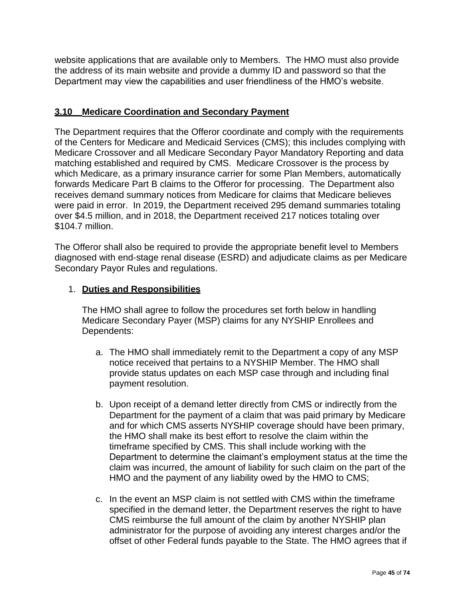website applications that are available only to Members. The HMO must also provide the address of its main website and provide a dummy ID and password so that the Department may view the capabilities and user friendliness of the HMO's website.

## **3.10 Medicare Coordination and Secondary Payment**

The Department requires that the Offeror coordinate and comply with the requirements of the Centers for Medicare and Medicaid Services (CMS); this includes complying with Medicare Crossover and all Medicare Secondary Payor Mandatory Reporting and data matching established and required by CMS. Medicare Crossover is the process by which Medicare, as a primary insurance carrier for some Plan Members, automatically forwards Medicare Part B claims to the Offeror for processing. The Department also receives demand summary notices from Medicare for claims that Medicare believes were paid in error. In 2019, the Department received 295 demand summaries totaling over \$4.5 million, and in 2018, the Department received 217 notices totaling over \$104.7 million.

The Offeror shall also be required to provide the appropriate benefit level to Members diagnosed with end-stage renal disease (ESRD) and adjudicate claims as per Medicare Secondary Payor Rules and regulations.

## 1. **Duties and Responsibilities**

The HMO shall agree to follow the procedures set forth below in handling Medicare Secondary Payer (MSP) claims for any NYSHIP Enrollees and Dependents:

- a. The HMO shall immediately remit to the Department a copy of any MSP notice received that pertains to a NYSHIP Member. The HMO shall provide status updates on each MSP case through and including final payment resolution.
- b. Upon receipt of a demand letter directly from CMS or indirectly from the Department for the payment of a claim that was paid primary by Medicare and for which CMS asserts NYSHIP coverage should have been primary, the HMO shall make its best effort to resolve the claim within the timeframe specified by CMS. This shall include working with the Department to determine the claimant's employment status at the time the claim was incurred, the amount of liability for such claim on the part of the HMO and the payment of any liability owed by the HMO to CMS;
- c. In the event an MSP claim is not settled with CMS within the timeframe specified in the demand letter, the Department reserves the right to have CMS reimburse the full amount of the claim by another NYSHIP plan administrator for the purpose of avoiding any interest charges and/or the offset of other Federal funds payable to the State. The HMO agrees that if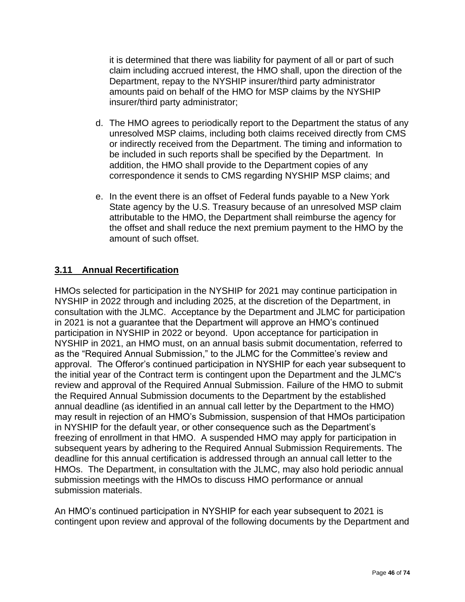it is determined that there was liability for payment of all or part of such claim including accrued interest, the HMO shall, upon the direction of the Department, repay to the NYSHIP insurer/third party administrator amounts paid on behalf of the HMO for MSP claims by the NYSHIP insurer/third party administrator;

- d. The HMO agrees to periodically report to the Department the status of any unresolved MSP claims, including both claims received directly from CMS or indirectly received from the Department. The timing and information to be included in such reports shall be specified by the Department. In addition, the HMO shall provide to the Department copies of any correspondence it sends to CMS regarding NYSHIP MSP claims; and
- e. In the event there is an offset of Federal funds payable to a New York State agency by the U.S. Treasury because of an unresolved MSP claim attributable to the HMO, the Department shall reimburse the agency for the offset and shall reduce the next premium payment to the HMO by the amount of such offset.

# **3.11 Annual Recertification**

HMOs selected for participation in the NYSHIP for 2021 may continue participation in NYSHIP in 2022 through and including 2025, at the discretion of the Department, in consultation with the JLMC. Acceptance by the Department and JLMC for participation in 2021 is not a guarantee that the Department will approve an HMO's continued participation in NYSHIP in 2022 or beyond. Upon acceptance for participation in NYSHIP in 2021, an HMO must, on an annual basis submit documentation, referred to as the "Required Annual Submission," to the JLMC for the Committee's review and approval. The Offeror's continued participation in NYSHIP for each year subsequent to the initial year of the Contract term is contingent upon the Department and the JLMC's review and approval of the Required Annual Submission. Failure of the HMO to submit the Required Annual Submission documents to the Department by the established annual deadline (as identified in an annual call letter by the Department to the HMO) may result in rejection of an HMO's Submission, suspension of that HMOs participation in NYSHIP for the default year, or other consequence such as the Department's freezing of enrollment in that HMO. A suspended HMO may apply for participation in subsequent years by adhering to the Required Annual Submission Requirements. The deadline for this annual certification is addressed through an annual call letter to the HMOs. The Department, in consultation with the JLMC, may also hold periodic annual submission meetings with the HMOs to discuss HMO performance or annual submission materials.

An HMO's continued participation in NYSHIP for each year subsequent to 2021 is contingent upon review and approval of the following documents by the Department and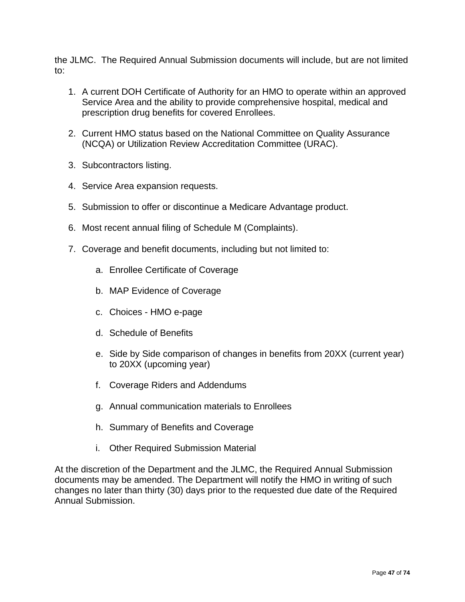the JLMC. The Required Annual Submission documents will include, but are not limited to:

- 1. A current DOH Certificate of Authority for an HMO to operate within an approved Service Area and the ability to provide comprehensive hospital, medical and prescription drug benefits for covered Enrollees.
- 2. Current HMO status based on the National Committee on Quality Assurance (NCQA) or Utilization Review Accreditation Committee (URAC).
- 3. Subcontractors listing.
- 4. Service Area expansion requests.
- 5. Submission to offer or discontinue a Medicare Advantage product.
- 6. Most recent annual filing of Schedule M (Complaints).
- 7. Coverage and benefit documents, including but not limited to:
	- a. Enrollee Certificate of Coverage
	- b. MAP Evidence of Coverage
	- c. Choices HMO e-page
	- d. Schedule of Benefits
	- e. Side by Side comparison of changes in benefits from 20XX (current year) to 20XX (upcoming year)
	- f. Coverage Riders and Addendums
	- g. Annual communication materials to Enrollees
	- h. Summary of Benefits and Coverage
	- i. Other Required Submission Material

At the discretion of the Department and the JLMC, the Required Annual Submission documents may be amended. The Department will notify the HMO in writing of such changes no later than thirty (30) days prior to the requested due date of the Required Annual Submission.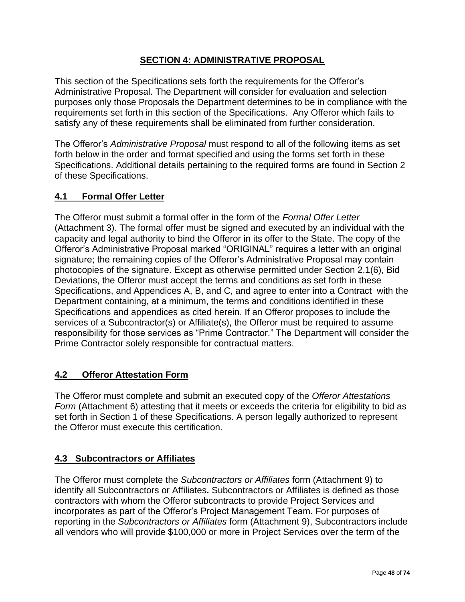# **SECTION 4: ADMINISTRATIVE PROPOSAL**

This section of the Specifications sets forth the requirements for the Offeror's Administrative Proposal. The Department will consider for evaluation and selection purposes only those Proposals the Department determines to be in compliance with the requirements set forth in this section of the Specifications. Any Offeror which fails to satisfy any of these requirements shall be eliminated from further consideration.

The Offeror's *Administrative Proposal* must respond to all of the following items as set forth below in the order and format specified and using the forms set forth in these Specifications. Additional details pertaining to the required forms are found in Section 2 of these Specifications.

## **4.1 Formal Offer Letter**

The Offeror must submit a formal offer in the form of the *Formal Offer Letter* (Attachment 3). The formal offer must be signed and executed by an individual with the capacity and legal authority to bind the Offeror in its offer to the State. The copy of the Offeror's Administrative Proposal marked "ORIGINAL" requires a letter with an original signature; the remaining copies of the Offeror's Administrative Proposal may contain photocopies of the signature. Except as otherwise permitted under Section 2.1(6), Bid Deviations, the Offeror must accept the terms and conditions as set forth in these Specifications, and Appendices A, B, and C, and agree to enter into a Contract with the Department containing, at a minimum, the terms and conditions identified in these Specifications and appendices as cited herein. If an Offeror proposes to include the services of a Subcontractor(s) or Affiliate(s), the Offeror must be required to assume responsibility for those services as "Prime Contractor." The Department will consider the Prime Contractor solely responsible for contractual matters.

## **4.2 Offeror Attestation Form**

The Offeror must complete and submit an executed copy of the *Offeror Attestations Form* (Attachment 6) attesting that it meets or exceeds the criteria for eligibility to bid as set forth in Section 1 of these Specifications. A person legally authorized to represent the Offeror must execute this certification.

## **4.3 Subcontractors or Affiliates**

The Offeror must complete the *Subcontractors or Affiliates* form (Attachment 9) to identify all Subcontractors or Affiliates**.** Subcontractors or Affiliates is defined as those contractors with whom the Offeror subcontracts to provide Project Services and incorporates as part of the Offeror's Project Management Team. For purposes of reporting in the *Subcontractors or Affiliates* form (Attachment 9), Subcontractors include all vendors who will provide \$100,000 or more in Project Services over the term of the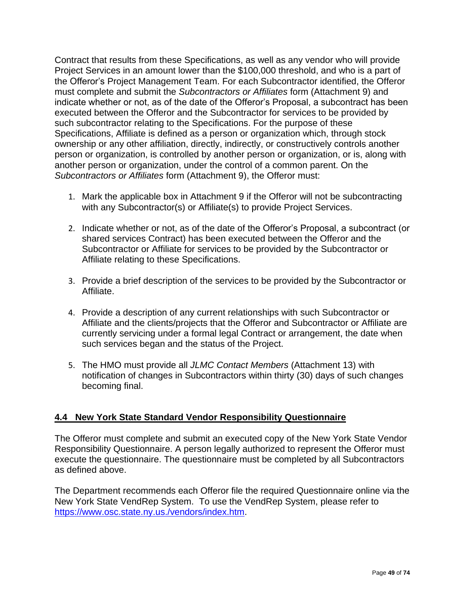Contract that results from these Specifications, as well as any vendor who will provide Project Services in an amount lower than the \$100,000 threshold, and who is a part of the Offeror's Project Management Team. For each Subcontractor identified, the Offeror must complete and submit the *Subcontractors or Affiliates* form (Attachment 9) and indicate whether or not, as of the date of the Offeror's Proposal, a subcontract has been executed between the Offeror and the Subcontractor for services to be provided by such subcontractor relating to the Specifications. For the purpose of these Specifications, Affiliate is defined as a person or organization which, through stock ownership or any other affiliation, directly, indirectly, or constructively controls another person or organization, is controlled by another person or organization, or is, along with another person or organization, under the control of a common parent. On the *Subcontractors or Affiliates* form (Attachment 9), the Offeror must:

- 1. Mark the applicable box in Attachment 9 if the Offeror will not be subcontracting with any Subcontractor(s) or Affiliate(s) to provide Project Services.
- 2. Indicate whether or not, as of the date of the Offeror's Proposal, a subcontract (or shared services Contract) has been executed between the Offeror and the Subcontractor or Affiliate for services to be provided by the Subcontractor or Affiliate relating to these Specifications.
- 3. Provide a brief description of the services to be provided by the Subcontractor or Affiliate.
- 4. Provide a description of any current relationships with such Subcontractor or Affiliate and the clients/projects that the Offeror and Subcontractor or Affiliate are currently servicing under a formal legal Contract or arrangement, the date when such services began and the status of the Project.
- 5. The HMO must provide all *JLMC Contact Members* (Attachment 13) with notification of changes in Subcontractors within thirty (30) days of such changes becoming final.

# **4.4 New York State Standard Vendor Responsibility Questionnaire**

The Offeror must complete and submit an executed copy of the New York State Vendor Responsibility Questionnaire. A person legally authorized to represent the Offeror must execute the questionnaire. The questionnaire must be completed by all Subcontractors as defined above.

The Department recommends each Offeror file the required Questionnaire online via the New York State VendRep System. To use the VendRep System, please refer to [https://www.osc.state.ny.us./vendors/index.htm.](https://www.osc.state.ny.us./vendors/index.htm)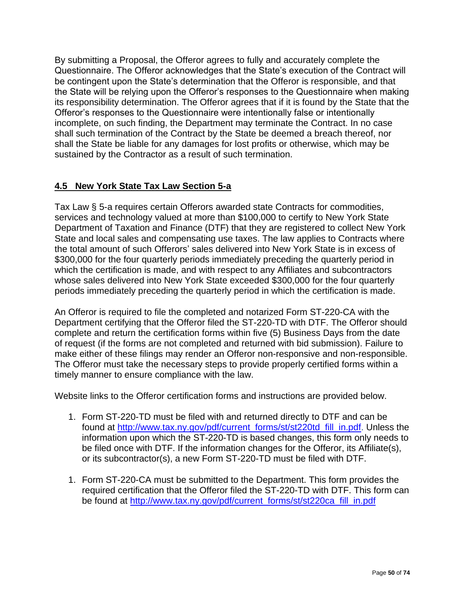By submitting a Proposal, the Offeror agrees to fully and accurately complete the Questionnaire. The Offeror acknowledges that the State's execution of the Contract will be contingent upon the State's determination that the Offeror is responsible, and that the State will be relying upon the Offeror's responses to the Questionnaire when making its responsibility determination. The Offeror agrees that if it is found by the State that the Offeror's responses to the Questionnaire were intentionally false or intentionally incomplete, on such finding, the Department may terminate the Contract. In no case shall such termination of the Contract by the State be deemed a breach thereof, nor shall the State be liable for any damages for lost profits or otherwise, which may be sustained by the Contractor as a result of such termination.

# **4.5 New York State Tax Law Section 5-a**

Tax Law § 5-a requires certain Offerors awarded state Contracts for commodities, services and technology valued at more than \$100,000 to certify to New York State Department of Taxation and Finance (DTF) that they are registered to collect New York State and local sales and compensating use taxes. The law applies to Contracts where the total amount of such Offerors' sales delivered into New York State is in excess of \$300,000 for the four quarterly periods immediately preceding the quarterly period in which the certification is made, and with respect to any Affiliates and subcontractors whose sales delivered into New York State exceeded \$300,000 for the four quarterly periods immediately preceding the quarterly period in which the certification is made.

An Offeror is required to file the completed and notarized Form ST-220-CA with the Department certifying that the Offeror filed the ST-220-TD with DTF. The Offeror should complete and return the certification forms within five (5) Business Days from the date of request (if the forms are not completed and returned with bid submission). Failure to make either of these filings may render an Offeror non-responsive and non-responsible. The Offeror must take the necessary steps to provide properly certified forms within a timely manner to ensure compliance with the law.

Website links to the Offeror certification forms and instructions are provided below.

- 1. Form ST-220-TD must be filed with and returned directly to DTF and can be found at [http://www.tax.ny.gov/pdf/current\\_forms/st/st220td\\_fill\\_in.pdf.](http://www.tax.ny.gov/pdf/current_forms/st/st220td_fill_in.pdf) Unless the information upon which the ST-220-TD is based changes, this form only needs to be filed once with DTF. If the information changes for the Offeror, its Affiliate(s), or its subcontractor(s), a new Form ST-220-TD must be filed with DTF.
- 1. Form ST-220-CA must be submitted to the Department. This form provides the required certification that the Offeror filed the ST-220-TD with DTF. This form can be found at [http://www.tax.ny.gov/pdf/current\\_forms/st/st220ca\\_fill\\_in.pdf](http://www.tax.ny.gov/pdf/current_forms/st/st220ca_fill_in.pdf)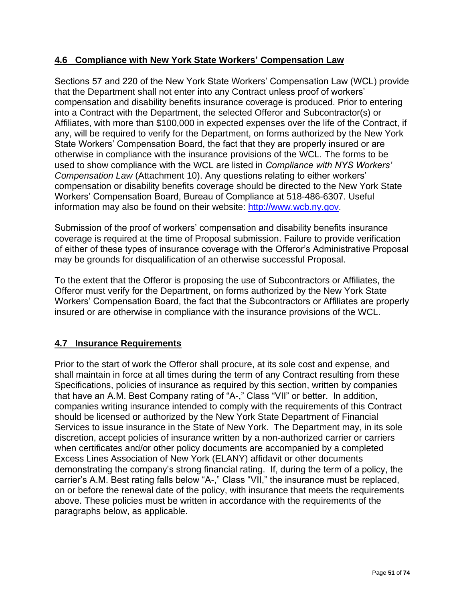# **4.6 Compliance with New York State Workers' Compensation Law**

Sections 57 and 220 of the New York State Workers' Compensation Law (WCL) provide that the Department shall not enter into any Contract unless proof of workers' compensation and disability benefits insurance coverage is produced. Prior to entering into a Contract with the Department, the selected Offeror and Subcontractor(s) or Affiliates, with more than \$100,000 in expected expenses over the life of the Contract, if any, will be required to verify for the Department, on forms authorized by the New York State Workers' Compensation Board, the fact that they are properly insured or are otherwise in compliance with the insurance provisions of the WCL. The forms to be used to show compliance with the WCL are listed in *Compliance with NYS Workers' Compensation Law* (Attachment 10). Any questions relating to either workers' compensation or disability benefits coverage should be directed to the New York State Workers' Compensation Board, Bureau of Compliance at 518-486-6307. Useful information may also be found on their website: [http://www.wcb.ny.gov.](http://www.wcb.ny.gov/)

Submission of the proof of workers' compensation and disability benefits insurance coverage is required at the time of Proposal submission. Failure to provide verification of either of these types of insurance coverage with the Offeror's Administrative Proposal may be grounds for disqualification of an otherwise successful Proposal.

To the extent that the Offeror is proposing the use of Subcontractors or Affiliates, the Offeror must verify for the Department, on forms authorized by the New York State Workers' Compensation Board, the fact that the Subcontractors or Affiliates are properly insured or are otherwise in compliance with the insurance provisions of the WCL.

# **4.7 Insurance Requirements**

Prior to the start of work the Offeror shall procure, at its sole cost and expense, and shall maintain in force at all times during the term of any Contract resulting from these Specifications, policies of insurance as required by this section, written by companies that have an A.M. Best Company rating of "A-," Class "VII" or better. In addition, companies writing insurance intended to comply with the requirements of this Contract should be licensed or authorized by the New York State Department of Financial Services to issue insurance in the State of New York. The Department may, in its sole discretion, accept policies of insurance written by a non-authorized carrier or carriers when certificates and/or other policy documents are accompanied by a completed Excess Lines Association of New York (ELANY) affidavit or other documents demonstrating the company's strong financial rating. If, during the term of a policy, the carrier's A.M. Best rating falls below "A-," Class "VII," the insurance must be replaced, on or before the renewal date of the policy, with insurance that meets the requirements above. These policies must be written in accordance with the requirements of the paragraphs below, as applicable.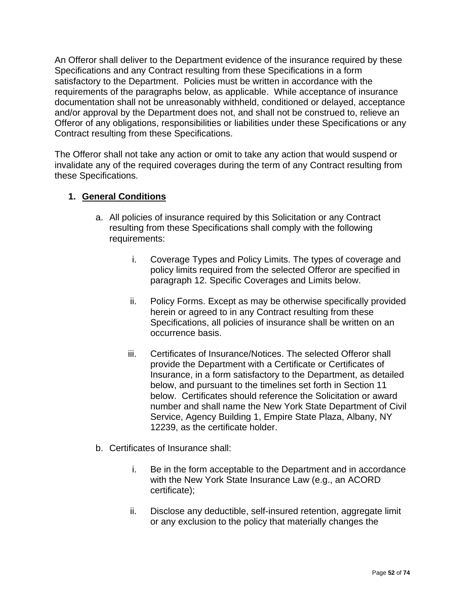An Offeror shall deliver to the Department evidence of the insurance required by these Specifications and any Contract resulting from these Specifications in a form satisfactory to the Department. Policies must be written in accordance with the requirements of the paragraphs below, as applicable. While acceptance of insurance documentation shall not be unreasonably withheld, conditioned or delayed, acceptance and/or approval by the Department does not, and shall not be construed to, relieve an Offeror of any obligations, responsibilities or liabilities under these Specifications or any Contract resulting from these Specifications.

The Offeror shall not take any action or omit to take any action that would suspend or invalidate any of the required coverages during the term of any Contract resulting from these Specifications.

# **1. General Conditions**

- a. All policies of insurance required by this Solicitation or any Contract resulting from these Specifications shall comply with the following requirements:
	- i. Coverage Types and Policy Limits. The types of coverage and policy limits required from the selected Offeror are specified in paragraph 12. Specific Coverages and Limits below.
	- ii. Policy Forms. Except as may be otherwise specifically provided herein or agreed to in any Contract resulting from these Specifications, all policies of insurance shall be written on an occurrence basis.
	- iii. Certificates of Insurance/Notices. The selected Offeror shall provide the Department with a Certificate or Certificates of Insurance, in a form satisfactory to the Department, as detailed below, and pursuant to the timelines set forth in Section 11 below. Certificates should reference the Solicitation or award number and shall name the New York State Department of Civil Service, Agency Building 1, Empire State Plaza, Albany, NY 12239, as the certificate holder.
- b. Certificates of Insurance shall:
	- i. Be in the form acceptable to the Department and in accordance with the New York State Insurance Law (e.g., an ACORD certificate);
	- ii. Disclose any deductible, self-insured retention, aggregate limit or any exclusion to the policy that materially changes the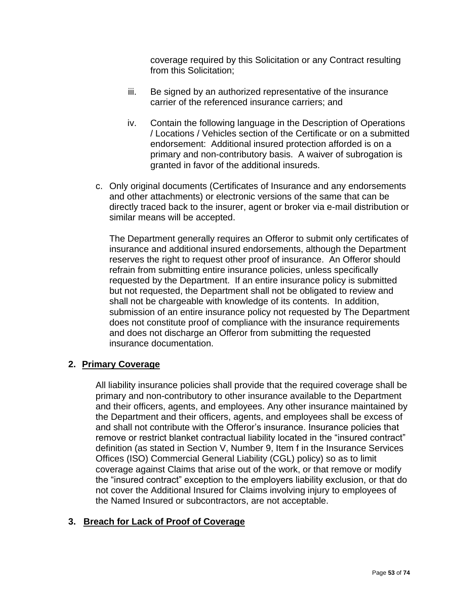coverage required by this Solicitation or any Contract resulting from this Solicitation;

- iii. Be signed by an authorized representative of the insurance carrier of the referenced insurance carriers; and
- iv. Contain the following language in the Description of Operations / Locations / Vehicles section of the Certificate or on a submitted endorsement: Additional insured protection afforded is on a primary and non-contributory basis. A waiver of subrogation is granted in favor of the additional insureds.
- c. Only original documents (Certificates of Insurance and any endorsements and other attachments) or electronic versions of the same that can be directly traced back to the insurer, agent or broker via e-mail distribution or similar means will be accepted.

The Department generally requires an Offeror to submit only certificates of insurance and additional insured endorsements, although the Department reserves the right to request other proof of insurance. An Offeror should refrain from submitting entire insurance policies, unless specifically requested by the Department. If an entire insurance policy is submitted but not requested, the Department shall not be obligated to review and shall not be chargeable with knowledge of its contents. In addition, submission of an entire insurance policy not requested by The Department does not constitute proof of compliance with the insurance requirements and does not discharge an Offeror from submitting the requested insurance documentation.

## **2. Primary Coverage**

All liability insurance policies shall provide that the required coverage shall be primary and non-contributory to other insurance available to the Department and their officers, agents, and employees. Any other insurance maintained by the Department and their officers, agents, and employees shall be excess of and shall not contribute with the Offeror's insurance. Insurance policies that remove or restrict blanket contractual liability located in the "insured contract" definition (as stated in Section V, Number 9, Item f in the Insurance Services Offices (ISO) Commercial General Liability (CGL) policy) so as to limit coverage against Claims that arise out of the work, or that remove or modify the "insured contract" exception to the employers liability exclusion, or that do not cover the Additional Insured for Claims involving injury to employees of the Named Insured or subcontractors, are not acceptable.

## **3. Breach for Lack of Proof of Coverage**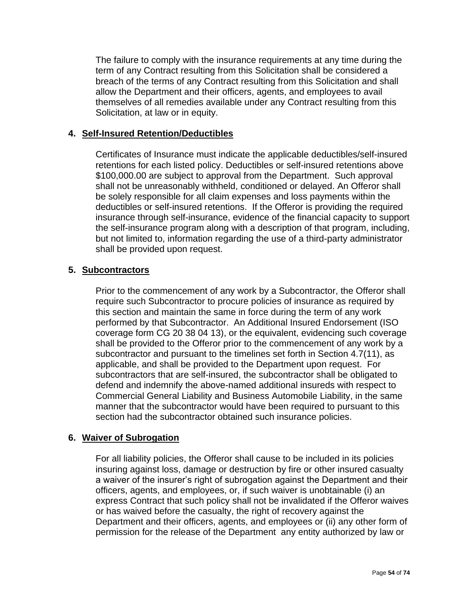The failure to comply with the insurance requirements at any time during the term of any Contract resulting from this Solicitation shall be considered a breach of the terms of any Contract resulting from this Solicitation and shall allow the Department and their officers, agents, and employees to avail themselves of all remedies available under any Contract resulting from this Solicitation, at law or in equity.

# **4. Self-Insured Retention/Deductibles**

Certificates of Insurance must indicate the applicable deductibles/self-insured retentions for each listed policy. Deductibles or self-insured retentions above \$100,000.00 are subject to approval from the Department. Such approval shall not be unreasonably withheld, conditioned or delayed. An Offeror shall be solely responsible for all claim expenses and loss payments within the deductibles or self-insured retentions. If the Offeror is providing the required insurance through self-insurance, evidence of the financial capacity to support the self-insurance program along with a description of that program, including, but not limited to, information regarding the use of a third-party administrator shall be provided upon request.

# **5. Subcontractors**

Prior to the commencement of any work by a Subcontractor, the Offeror shall require such Subcontractor to procure policies of insurance as required by this section and maintain the same in force during the term of any work performed by that Subcontractor. An Additional Insured Endorsement (ISO coverage form CG 20 38 04 13), or the equivalent, evidencing such coverage shall be provided to the Offeror prior to the commencement of any work by a subcontractor and pursuant to the timelines set forth in Section 4.7(11), as applicable, and shall be provided to the Department upon request. For subcontractors that are self-insured, the subcontractor shall be obligated to defend and indemnify the above-named additional insureds with respect to Commercial General Liability and Business Automobile Liability, in the same manner that the subcontractor would have been required to pursuant to this section had the subcontractor obtained such insurance policies.

## **6. Waiver of Subrogation**

For all liability policies, the Offeror shall cause to be included in its policies insuring against loss, damage or destruction by fire or other insured casualty a waiver of the insurer's right of subrogation against the Department and their officers, agents, and employees, or, if such waiver is unobtainable (i) an express Contract that such policy shall not be invalidated if the Offeror waives or has waived before the casualty, the right of recovery against the Department and their officers, agents, and employees or (ii) any other form of permission for the release of the Department any entity authorized by law or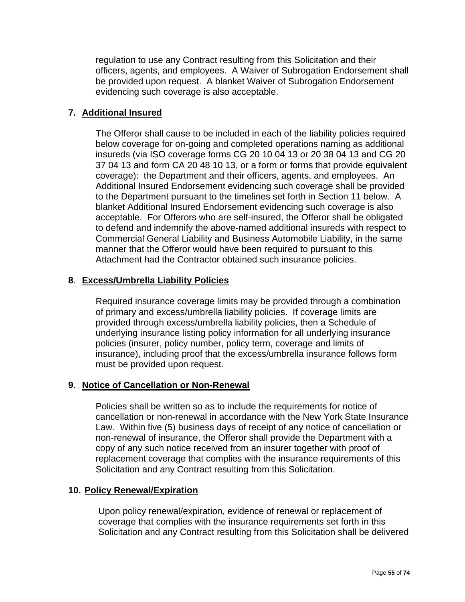regulation to use any Contract resulting from this Solicitation and their officers, agents, and employees. A Waiver of Subrogation Endorsement shall be provided upon request. A blanket Waiver of Subrogation Endorsement evidencing such coverage is also acceptable.

# **7. Additional Insured**

The Offeror shall cause to be included in each of the liability policies required below coverage for on-going and completed operations naming as additional insureds (via ISO coverage forms CG 20 10 04 13 or 20 38 04 13 and CG 20 37 04 13 and form CA 20 48 10 13, or a form or forms that provide equivalent coverage): the Department and their officers, agents, and employees. An Additional Insured Endorsement evidencing such coverage shall be provided to the Department pursuant to the timelines set forth in Section 11 below. A blanket Additional Insured Endorsement evidencing such coverage is also acceptable. For Offerors who are self-insured, the Offeror shall be obligated to defend and indemnify the above-named additional insureds with respect to Commercial General Liability and Business Automobile Liability, in the same manner that the Offeror would have been required to pursuant to this Attachment had the Contractor obtained such insurance policies.

# **8**. **Excess/Umbrella Liability Policies**

Required insurance coverage limits may be provided through a combination of primary and excess/umbrella liability policies. If coverage limits are provided through excess/umbrella liability policies, then a Schedule of underlying insurance listing policy information for all underlying insurance policies (insurer, policy number, policy term, coverage and limits of insurance), including proof that the excess/umbrella insurance follows form must be provided upon request.

## **9**. **Notice of Cancellation or Non-Renewal**

Policies shall be written so as to include the requirements for notice of cancellation or non-renewal in accordance with the New York State Insurance Law. Within five (5) business days of receipt of any notice of cancellation or non-renewal of insurance, the Offeror shall provide the Department with a copy of any such notice received from an insurer together with proof of replacement coverage that complies with the insurance requirements of this Solicitation and any Contract resulting from this Solicitation.

## **10. Policy Renewal/Expiration**

Upon policy renewal/expiration, evidence of renewal or replacement of coverage that complies with the insurance requirements set forth in this Solicitation and any Contract resulting from this Solicitation shall be delivered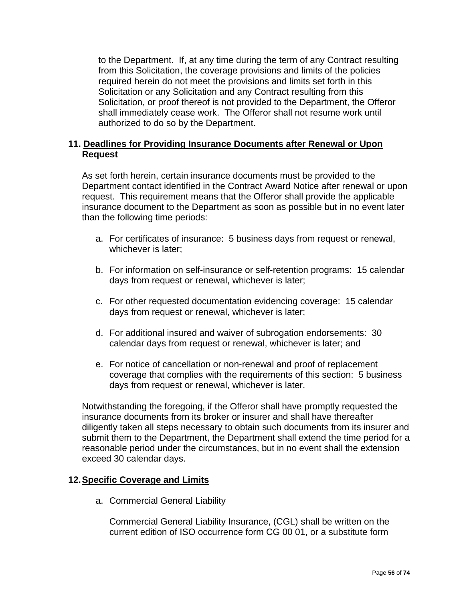to the Department. If, at any time during the term of any Contract resulting from this Solicitation, the coverage provisions and limits of the policies required herein do not meet the provisions and limits set forth in this Solicitation or any Solicitation and any Contract resulting from this Solicitation, or proof thereof is not provided to the Department, the Offeror shall immediately cease work. The Offeror shall not resume work until authorized to do so by the Department.

# **11. Deadlines for Providing Insurance Documents after Renewal or Upon Request**

As set forth herein, certain insurance documents must be provided to the Department contact identified in the Contract Award Notice after renewal or upon request. This requirement means that the Offeror shall provide the applicable insurance document to the Department as soon as possible but in no event later than the following time periods:

- a. For certificates of insurance: 5 business days from request or renewal, whichever is later;
- b. For information on self-insurance or self-retention programs: 15 calendar days from request or renewal, whichever is later;
- c. For other requested documentation evidencing coverage: 15 calendar days from request or renewal, whichever is later;
- d. For additional insured and waiver of subrogation endorsements: 30 calendar days from request or renewal, whichever is later; and
- e. For notice of cancellation or non-renewal and proof of replacement coverage that complies with the requirements of this section: 5 business days from request or renewal, whichever is later.

Notwithstanding the foregoing, if the Offeror shall have promptly requested the insurance documents from its broker or insurer and shall have thereafter diligently taken all steps necessary to obtain such documents from its insurer and submit them to the Department, the Department shall extend the time period for a reasonable period under the circumstances, but in no event shall the extension exceed 30 calendar days.

## **12.Specific Coverage and Limits**

a. Commercial General Liability

Commercial General Liability Insurance, (CGL) shall be written on the current edition of ISO occurrence form CG 00 01, or a substitute form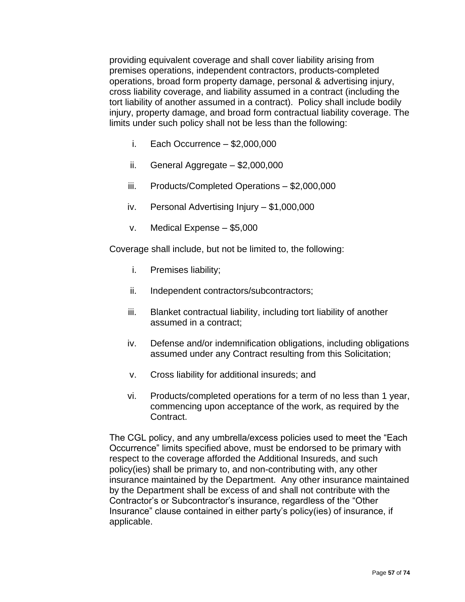providing equivalent coverage and shall cover liability arising from premises operations, independent contractors, products-completed operations, broad form property damage, personal & advertising injury, cross liability coverage, and liability assumed in a contract (including the tort liability of another assumed in a contract). Policy shall include bodily injury, property damage, and broad form contractual liability coverage. The limits under such policy shall not be less than the following:

- i. Each Occurrence  $-$  \$2,000,000
- ii. General Aggregate \$2,000,000
- iii. Products/Completed Operations \$2,000,000
- iv. Personal Advertising Injury \$1,000,000
- v. Medical Expense \$5,000

Coverage shall include, but not be limited to, the following:

- i. Premises liability;
- ii. Independent contractors/subcontractors;
- iii. Blanket contractual liability, including tort liability of another assumed in a contract;
- iv. Defense and/or indemnification obligations, including obligations assumed under any Contract resulting from this Solicitation;
- v. Cross liability for additional insureds; and
- vi. Products/completed operations for a term of no less than 1 year, commencing upon acceptance of the work, as required by the Contract.

The CGL policy, and any umbrella/excess policies used to meet the "Each Occurrence" limits specified above, must be endorsed to be primary with respect to the coverage afforded the Additional Insureds, and such policy(ies) shall be primary to, and non-contributing with, any other insurance maintained by the Department. Any other insurance maintained by the Department shall be excess of and shall not contribute with the Contractor's or Subcontractor's insurance, regardless of the "Other Insurance" clause contained in either party's policy(ies) of insurance, if applicable.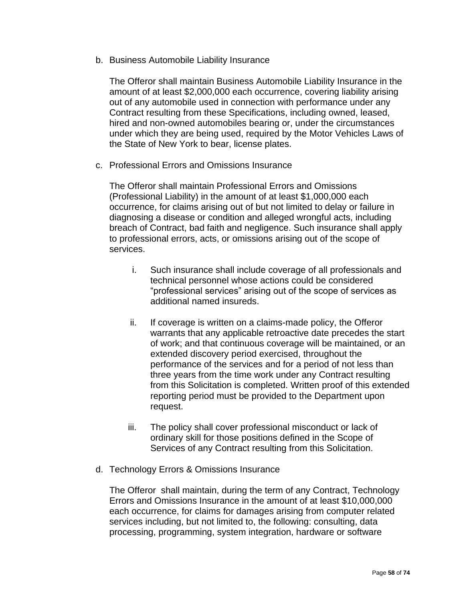b. Business Automobile Liability Insurance

The Offeror shall maintain Business Automobile Liability Insurance in the amount of at least \$2,000,000 each occurrence, covering liability arising out of any automobile used in connection with performance under any Contract resulting from these Specifications, including owned, leased, hired and non-owned automobiles bearing or, under the circumstances under which they are being used, required by the Motor Vehicles Laws of the State of New York to bear, license plates.

c. Professional Errors and Omissions Insurance

The Offeror shall maintain Professional Errors and Omissions (Professional Liability) in the amount of at least \$1,000,000 each occurrence, for claims arising out of but not limited to delay or failure in diagnosing a disease or condition and alleged wrongful acts, including breach of Contract, bad faith and negligence. Such insurance shall apply to professional errors, acts, or omissions arising out of the scope of services.

- i. Such insurance shall include coverage of all professionals and technical personnel whose actions could be considered "professional services" arising out of the scope of services as additional named insureds.
- ii. If coverage is written on a claims-made policy, the Offeror warrants that any applicable retroactive date precedes the start of work; and that continuous coverage will be maintained, or an extended discovery period exercised, throughout the performance of the services and for a period of not less than three years from the time work under any Contract resulting from this Solicitation is completed. Written proof of this extended reporting period must be provided to the Department upon request.
- iii. The policy shall cover professional misconduct or lack of ordinary skill for those positions defined in the Scope of Services of any Contract resulting from this Solicitation.
- d. Technology Errors & Omissions Insurance

The Offeror shall maintain, during the term of any Contract, Technology Errors and Omissions Insurance in the amount of at least \$10,000,000 each occurrence, for claims for damages arising from computer related services including, but not limited to, the following: consulting, data processing, programming, system integration, hardware or software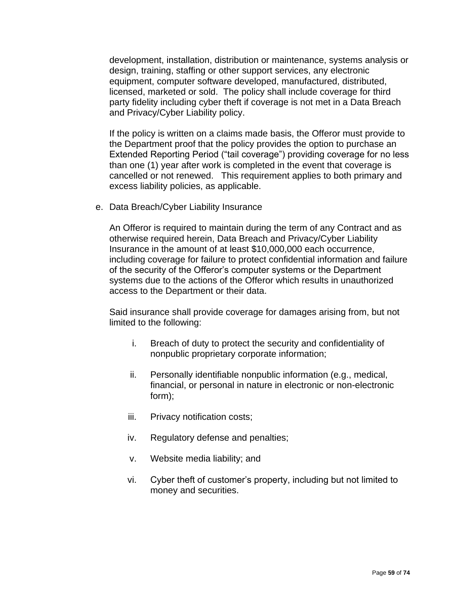development, installation, distribution or maintenance, systems analysis or design, training, staffing or other support services, any electronic equipment, computer software developed, manufactured, distributed, licensed, marketed or sold. The policy shall include coverage for third party fidelity including cyber theft if coverage is not met in a Data Breach and Privacy/Cyber Liability policy.

If the policy is written on a claims made basis, the Offeror must provide to the Department proof that the policy provides the option to purchase an Extended Reporting Period ("tail coverage") providing coverage for no less than one (1) year after work is completed in the event that coverage is cancelled or not renewed. This requirement applies to both primary and excess liability policies, as applicable.

e. Data Breach/Cyber Liability Insurance

An Offeror is required to maintain during the term of any Contract and as otherwise required herein, Data Breach and Privacy/Cyber Liability Insurance in the amount of at least \$10,000,000 each occurrence, including coverage for failure to protect confidential information and failure of the security of the Offeror's computer systems or the Department systems due to the actions of the Offeror which results in unauthorized access to the Department or their data.

Said insurance shall provide coverage for damages arising from, but not limited to the following:

- i. Breach of duty to protect the security and confidentiality of nonpublic proprietary corporate information;
- ii. Personally identifiable nonpublic information (e.g., medical, financial, or personal in nature in electronic or non-electronic form);
- iii. Privacy notification costs;
- iv. Regulatory defense and penalties;
- v. Website media liability; and
- vi. Cyber theft of customer's property, including but not limited to money and securities.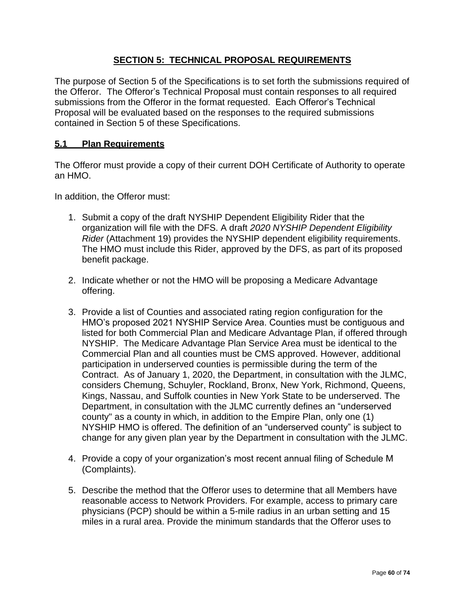# **SECTION 5: TECHNICAL PROPOSAL REQUIREMENTS**

The purpose of Section 5 of the Specifications is to set forth the submissions required of the Offeror. The Offeror's Technical Proposal must contain responses to all required submissions from the Offeror in the format requested. Each Offeror's Technical Proposal will be evaluated based on the responses to the required submissions contained in Section 5 of these Specifications.

# **5.1 Plan Requirements**

The Offeror must provide a copy of their current DOH Certificate of Authority to operate an HMO.

In addition, the Offeror must:

- 1. Submit a copy of the draft NYSHIP Dependent Eligibility Rider that the organization will file with the DFS. A draft *2020 NYSHIP Dependent Eligibility Rider* (Attachment 19) provides the NYSHIP dependent eligibility requirements. The HMO must include this Rider, approved by the DFS, as part of its proposed benefit package.
- 2. Indicate whether or not the HMO will be proposing a Medicare Advantage offering.
- 3. Provide a list of Counties and associated rating region configuration for the HMO's proposed 2021 NYSHIP Service Area. Counties must be contiguous and listed for both Commercial Plan and Medicare Advantage Plan, if offered through NYSHIP. The Medicare Advantage Plan Service Area must be identical to the Commercial Plan and all counties must be CMS approved. However, additional participation in underserved counties is permissible during the term of the Contract. As of January 1, 2020, the Department, in consultation with the JLMC, considers Chemung, Schuyler, Rockland, Bronx, New York, Richmond, Queens, Kings, Nassau, and Suffolk counties in New York State to be underserved. The Department, in consultation with the JLMC currently defines an "underserved county" as a county in which, in addition to the Empire Plan, only one (1) NYSHIP HMO is offered. The definition of an "underserved county" is subject to change for any given plan year by the Department in consultation with the JLMC.
- 4. Provide a copy of your organization's most recent annual filing of Schedule M (Complaints).
- 5. Describe the method that the Offeror uses to determine that all Members have reasonable access to Network Providers. For example, access to primary care physicians (PCP) should be within a 5-mile radius in an urban setting and 15 miles in a rural area. Provide the minimum standards that the Offeror uses to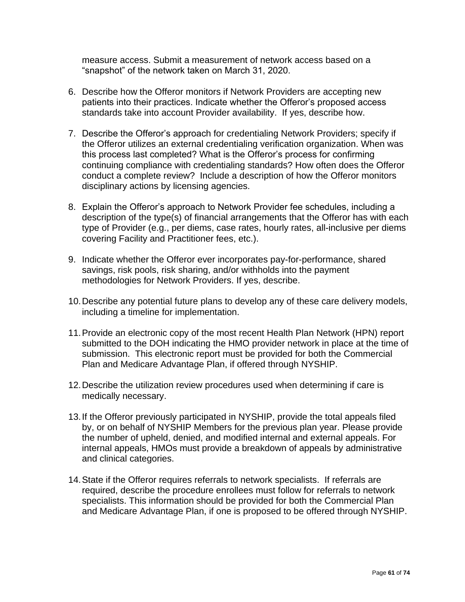measure access. Submit a measurement of network access based on a "snapshot" of the network taken on March 31, 2020.

- 6. Describe how the Offeror monitors if Network Providers are accepting new patients into their practices. Indicate whether the Offeror's proposed access standards take into account Provider availability. If yes, describe how.
- 7. Describe the Offeror's approach for credentialing Network Providers; specify if the Offeror utilizes an external credentialing verification organization. When was this process last completed? What is the Offeror's process for confirming continuing compliance with credentialing standards? How often does the Offeror conduct a complete review? Include a description of how the Offeror monitors disciplinary actions by licensing agencies.
- 8. Explain the Offeror's approach to Network Provider fee schedules, including a description of the type(s) of financial arrangements that the Offeror has with each type of Provider (e.g., per diems, case rates, hourly rates, all-inclusive per diems covering Facility and Practitioner fees, etc.).
- 9. Indicate whether the Offeror ever incorporates pay-for-performance, shared savings, risk pools, risk sharing, and/or withholds into the payment methodologies for Network Providers. If yes, describe.
- 10.Describe any potential future plans to develop any of these care delivery models, including a timeline for implementation.
- 11.Provide an electronic copy of the most recent Health Plan Network (HPN) report submitted to the DOH indicating the HMO provider network in place at the time of submission. This electronic report must be provided for both the Commercial Plan and Medicare Advantage Plan, if offered through NYSHIP.
- 12.Describe the utilization review procedures used when determining if care is medically necessary.
- 13.If the Offeror previously participated in NYSHIP, provide the total appeals filed by, or on behalf of NYSHIP Members for the previous plan year. Please provide the number of upheld, denied, and modified internal and external appeals. For internal appeals, HMOs must provide a breakdown of appeals by administrative and clinical categories.
- 14.State if the Offeror requires referrals to network specialists. If referrals are required, describe the procedure enrollees must follow for referrals to network specialists. This information should be provided for both the Commercial Plan and Medicare Advantage Plan, if one is proposed to be offered through NYSHIP.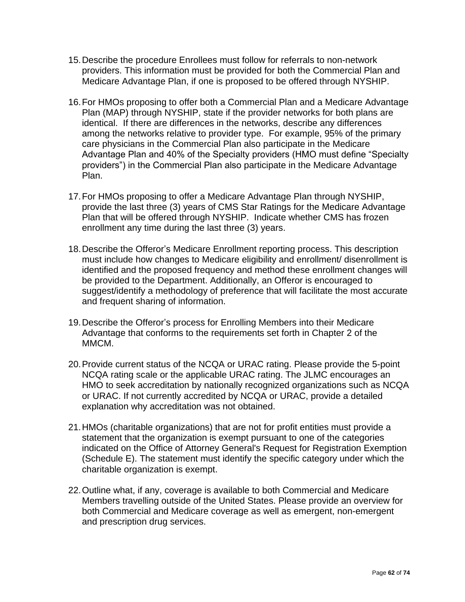- 15.Describe the procedure Enrollees must follow for referrals to non-network providers. This information must be provided for both the Commercial Plan and Medicare Advantage Plan, if one is proposed to be offered through NYSHIP.
- 16.For HMOs proposing to offer both a Commercial Plan and a Medicare Advantage Plan (MAP) through NYSHIP, state if the provider networks for both plans are identical. If there are differences in the networks, describe any differences among the networks relative to provider type. For example, 95% of the primary care physicians in the Commercial Plan also participate in the Medicare Advantage Plan and 40% of the Specialty providers (HMO must define "Specialty providers") in the Commercial Plan also participate in the Medicare Advantage Plan.
- 17.For HMOs proposing to offer a Medicare Advantage Plan through NYSHIP, provide the last three (3) years of CMS Star Ratings for the Medicare Advantage Plan that will be offered through NYSHIP. Indicate whether CMS has frozen enrollment any time during the last three (3) years.
- 18.Describe the Offeror's Medicare Enrollment reporting process. This description must include how changes to Medicare eligibility and enrollment/ disenrollment is identified and the proposed frequency and method these enrollment changes will be provided to the Department. Additionally, an Offeror is encouraged to suggest/identify a methodology of preference that will facilitate the most accurate and frequent sharing of information.
- 19.Describe the Offeror's process for Enrolling Members into their Medicare Advantage that conforms to the requirements set forth in Chapter 2 of the MMCM.
- 20.Provide current status of the NCQA or URAC rating. Please provide the 5-point NCQA rating scale or the applicable URAC rating. The JLMC encourages an HMO to seek accreditation by nationally recognized organizations such as NCQA or URAC. If not currently accredited by NCQA or URAC, provide a detailed explanation why accreditation was not obtained.
- 21.HMOs (charitable organizations) that are not for profit entities must provide a statement that the organization is exempt pursuant to one of the categories indicated on the Office of Attorney General's Request for Registration Exemption (Schedule E). The statement must identify the specific category under which the charitable organization is exempt.
- 22.Outline what, if any, coverage is available to both Commercial and Medicare Members travelling outside of the United States. Please provide an overview for both Commercial and Medicare coverage as well as emergent, non-emergent and prescription drug services.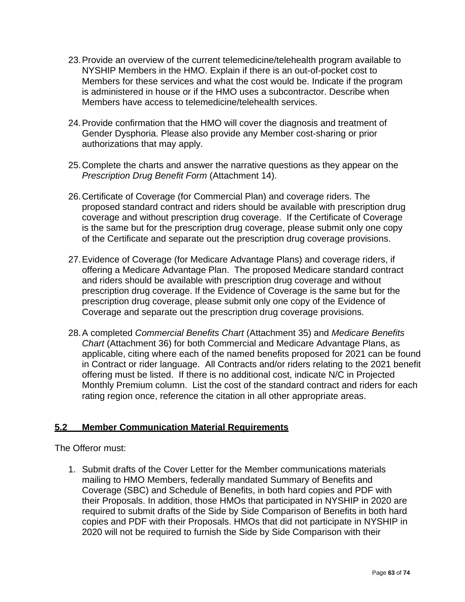- 23.Provide an overview of the current telemedicine/telehealth program available to NYSHIP Members in the HMO. Explain if there is an out-of-pocket cost to Members for these services and what the cost would be. Indicate if the program is administered in house or if the HMO uses a subcontractor. Describe when Members have access to telemedicine/telehealth services.
- 24.Provide confirmation that the HMO will cover the diagnosis and treatment of Gender Dysphoria. Please also provide any Member cost-sharing or prior authorizations that may apply.
- 25.Complete the charts and answer the narrative questions as they appear on the *Prescription Drug Benefit Form* (Attachment 14).
- 26.Certificate of Coverage (for Commercial Plan) and coverage riders. The proposed standard contract and riders should be available with prescription drug coverage and without prescription drug coverage. If the Certificate of Coverage is the same but for the prescription drug coverage, please submit only one copy of the Certificate and separate out the prescription drug coverage provisions.
- 27.Evidence of Coverage (for Medicare Advantage Plans) and coverage riders, if offering a Medicare Advantage Plan. The proposed Medicare standard contract and riders should be available with prescription drug coverage and without prescription drug coverage. If the Evidence of Coverage is the same but for the prescription drug coverage, please submit only one copy of the Evidence of Coverage and separate out the prescription drug coverage provisions.
- 28.A completed *Commercial Benefits Chart* (Attachment 35) and *Medicare Benefits Chart* (Attachment 36) for both Commercial and Medicare Advantage Plans, as applicable, citing where each of the named benefits proposed for 2021 can be found in Contract or rider language. All Contracts and/or riders relating to the 2021 benefit offering must be listed. If there is no additional cost, indicate N/C in Projected Monthly Premium column. List the cost of the standard contract and riders for each rating region once, reference the citation in all other appropriate areas.

## **5.2 Member Communication Material Requirements**

The Offeror must:

1. Submit drafts of the Cover Letter for the Member communications materials mailing to HMO Members, federally mandated Summary of Benefits and Coverage (SBC) and Schedule of Benefits, in both hard copies and PDF with their Proposals. In addition, those HMOs that participated in NYSHIP in 2020 are required to submit drafts of the Side by Side Comparison of Benefits in both hard copies and PDF with their Proposals. HMOs that did not participate in NYSHIP in 2020 will not be required to furnish the Side by Side Comparison with their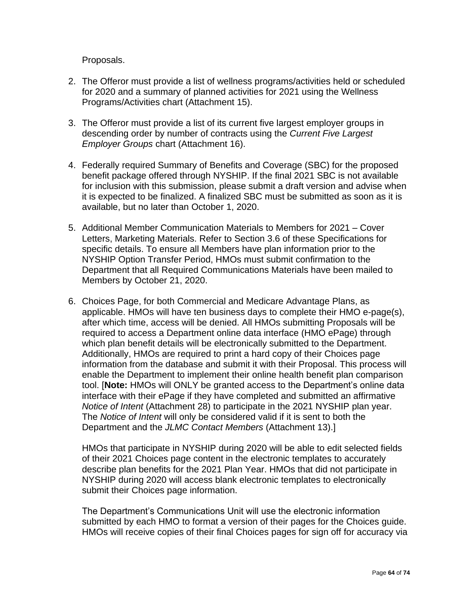Proposals.

- 2. The Offeror must provide a list of wellness programs/activities held or scheduled for 2020 and a summary of planned activities for 2021 using the Wellness Programs/Activities chart (Attachment 15).
- 3. The Offeror must provide a list of its current five largest employer groups in descending order by number of contracts using the *Current Five Largest Employer Groups* chart (Attachment 16).
- 4. Federally required Summary of Benefits and Coverage (SBC) for the proposed benefit package offered through NYSHIP. If the final 2021 SBC is not available for inclusion with this submission, please submit a draft version and advise when it is expected to be finalized. A finalized SBC must be submitted as soon as it is available, but no later than October 1, 2020.
- 5. Additional Member Communication Materials to Members for 2021 Cover Letters, Marketing Materials. Refer to Section 3.6 of these Specifications for specific details. To ensure all Members have plan information prior to the NYSHIP Option Transfer Period, HMOs must submit confirmation to the Department that all Required Communications Materials have been mailed to Members by October 21, 2020.
- 6. Choices Page, for both Commercial and Medicare Advantage Plans, as applicable. HMOs will have ten business days to complete their HMO e-page(s), after which time, access will be denied. All HMOs submitting Proposals will be required to access a Department online data interface (HMO ePage) through which plan benefit details will be electronically submitted to the Department. Additionally, HMOs are required to print a hard copy of their Choices page information from the database and submit it with their Proposal. This process will enable the Department to implement their online health benefit plan comparison tool. [**Note:** HMOs will ONLY be granted access to the Department's online data interface with their ePage if they have completed and submitted an affirmative *Notice of Intent* (Attachment 28) to participate in the 2021 NYSHIP plan year. The *Notice of Intent* will only be considered valid if it is sent to both the Department and the *JLMC Contact Members* (Attachment 13).]

HMOs that participate in NYSHIP during 2020 will be able to edit selected fields of their 2021 Choices page content in the electronic templates to accurately describe plan benefits for the 2021 Plan Year. HMOs that did not participate in NYSHIP during 2020 will access blank electronic templates to electronically submit their Choices page information.

The Department's Communications Unit will use the electronic information submitted by each HMO to format a version of their pages for the Choices guide. HMOs will receive copies of their final Choices pages for sign off for accuracy via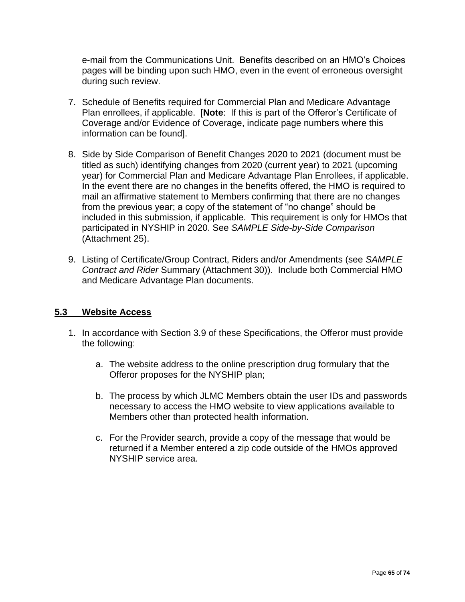e-mail from the Communications Unit. Benefits described on an HMO's Choices pages will be binding upon such HMO, even in the event of erroneous oversight during such review.

- 7. Schedule of Benefits required for Commercial Plan and Medicare Advantage Plan enrollees, if applicable. [**Note**: If this is part of the Offeror's Certificate of Coverage and/or Evidence of Coverage, indicate page numbers where this information can be found].
- 8. Side by Side Comparison of Benefit Changes 2020 to 2021 (document must be titled as such) identifying changes from 2020 (current year) to 2021 (upcoming year) for Commercial Plan and Medicare Advantage Plan Enrollees, if applicable. In the event there are no changes in the benefits offered, the HMO is required to mail an affirmative statement to Members confirming that there are no changes from the previous year; a copy of the statement of "no change" should be included in this submission, if applicable. This requirement is only for HMOs that participated in NYSHIP in 2020. See *SAMPLE Side-by-Side Comparison* (Attachment 25).
- 9. Listing of Certificate/Group Contract, Riders and/or Amendments (see *SAMPLE Contract and Rider* Summary (Attachment 30)). Include both Commercial HMO and Medicare Advantage Plan documents.

#### **5.3 Website Access**

- 1. In accordance with Section 3.9 of these Specifications, the Offeror must provide the following:
	- a. The website address to the online prescription drug formulary that the Offeror proposes for the NYSHIP plan;
	- b. The process by which JLMC Members obtain the user IDs and passwords necessary to access the HMO website to view applications available to Members other than protected health information.
	- c. For the Provider search, provide a copy of the message that would be returned if a Member entered a zip code outside of the HMOs approved NYSHIP service area.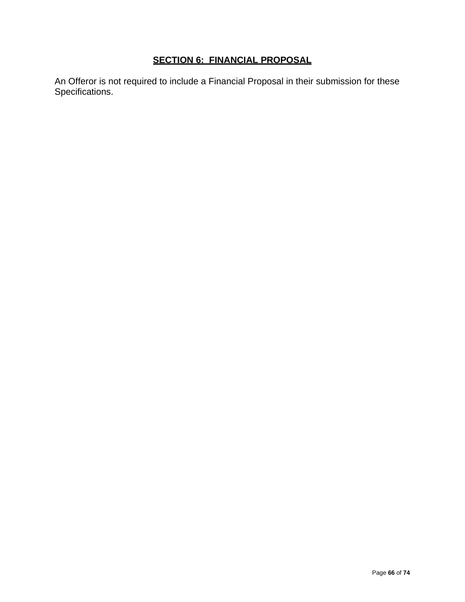# **SECTION 6: FINANCIAL PROPOSAL**

An Offeror is not required to include a Financial Proposal in their submission for these Specifications.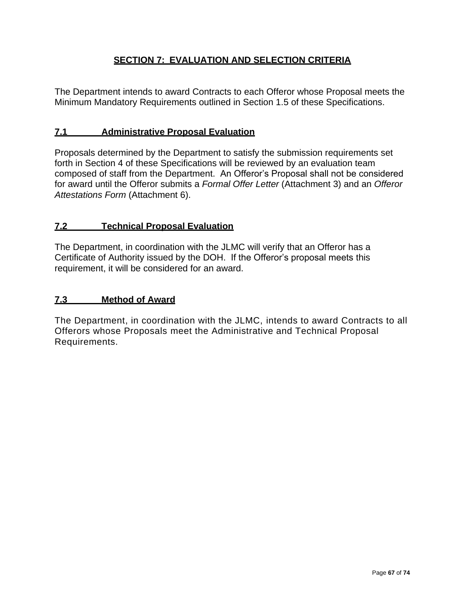# **SECTION 7: EVALUATION AND SELECTION CRITERIA**

The Department intends to award Contracts to each Offeror whose Proposal meets the Minimum Mandatory Requirements outlined in Section 1.5 of these Specifications.

#### **7.1 Administrative Proposal Evaluation**

Proposals determined by the Department to satisfy the submission requirements set forth in Section 4 of these Specifications will be reviewed by an evaluation team composed of staff from the Department. An Offeror's Proposal shall not be considered for award until the Offeror submits a *Formal Offer Letter* (Attachment 3) and an *Offeror Attestations Form* (Attachment 6).

#### **7.2 Technical Proposal Evaluation**

The Department, in coordination with the JLMC will verify that an Offeror has a Certificate of Authority issued by the DOH. If the Offeror's proposal meets this requirement, it will be considered for an award.

#### **7.3 Method of Award**

The Department, in coordination with the JLMC, intends to award Contracts to all Offerors whose Proposals meet the Administrative and Technical Proposal Requirements.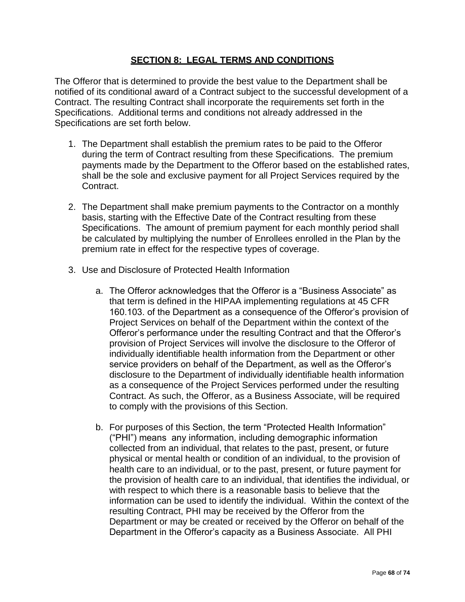# **SECTION 8: LEGAL TERMS AND CONDITIONS**

The Offeror that is determined to provide the best value to the Department shall be notified of its conditional award of a Contract subject to the successful development of a Contract. The resulting Contract shall incorporate the requirements set forth in the Specifications. Additional terms and conditions not already addressed in the Specifications are set forth below.

- 1. The Department shall establish the premium rates to be paid to the Offeror during the term of Contract resulting from these Specifications. The premium payments made by the Department to the Offeror based on the established rates, shall be the sole and exclusive payment for all Project Services required by the Contract.
- 2. The Department shall make premium payments to the Contractor on a monthly basis, starting with the Effective Date of the Contract resulting from these Specifications. The amount of premium payment for each monthly period shall be calculated by multiplying the number of Enrollees enrolled in the Plan by the premium rate in effect for the respective types of coverage.
- 3. Use and Disclosure of Protected Health Information
	- a. The Offeror acknowledges that the Offeror is a "Business Associate" as that term is defined in the HIPAA implementing regulations at 45 CFR 160.103. of the Department as a consequence of the Offeror's provision of Project Services on behalf of the Department within the context of the Offeror's performance under the resulting Contract and that the Offeror's provision of Project Services will involve the disclosure to the Offeror of individually identifiable health information from the Department or other service providers on behalf of the Department, as well as the Offeror's disclosure to the Department of individually identifiable health information as a consequence of the Project Services performed under the resulting Contract. As such, the Offeror, as a Business Associate, will be required to comply with the provisions of this Section.
	- b. For purposes of this Section, the term "Protected Health Information" ("PHI") means any information, including demographic information collected from an individual, that relates to the past, present, or future physical or mental health or condition of an individual, to the provision of health care to an individual, or to the past, present, or future payment for the provision of health care to an individual, that identifies the individual, or with respect to which there is a reasonable basis to believe that the information can be used to identify the individual. Within the context of the resulting Contract, PHI may be received by the Offeror from the Department or may be created or received by the Offeror on behalf of the Department in the Offeror's capacity as a Business Associate. All PHI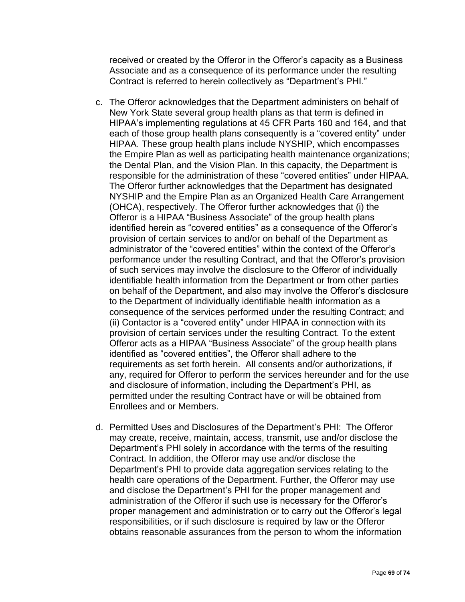received or created by the Offeror in the Offeror's capacity as a Business Associate and as a consequence of its performance under the resulting Contract is referred to herein collectively as "Department's PHI."

- c. The Offeror acknowledges that the Department administers on behalf of New York State several group health plans as that term is defined in HIPAA's implementing regulations at 45 CFR Parts 160 and 164, and that each of those group health plans consequently is a "covered entity" under HIPAA. These group health plans include NYSHIP, which encompasses the Empire Plan as well as participating health maintenance organizations; the Dental Plan, and the Vision Plan. In this capacity, the Department is responsible for the administration of these "covered entities" under HIPAA. The Offeror further acknowledges that the Department has designated NYSHIP and the Empire Plan as an Organized Health Care Arrangement (OHCA), respectively. The Offeror further acknowledges that (i) the Offeror is a HIPAA "Business Associate" of the group health plans identified herein as "covered entities" as a consequence of the Offeror's provision of certain services to and/or on behalf of the Department as administrator of the "covered entities" within the context of the Offeror's performance under the resulting Contract, and that the Offeror's provision of such services may involve the disclosure to the Offeror of individually identifiable health information from the Department or from other parties on behalf of the Department, and also may involve the Offeror's disclosure to the Department of individually identifiable health information as a consequence of the services performed under the resulting Contract; and (ii) Contactor is a "covered entity" under HIPAA in connection with its provision of certain services under the resulting Contract. To the extent Offeror acts as a HIPAA "Business Associate" of the group health plans identified as "covered entities", the Offeror shall adhere to the requirements as set forth herein. All consents and/or authorizations, if any, required for Offeror to perform the services hereunder and for the use and disclosure of information, including the Department's PHI, as permitted under the resulting Contract have or will be obtained from Enrollees and or Members.
- d. Permitted Uses and Disclosures of the Department's PHI: The Offeror may create, receive, maintain, access, transmit, use and/or disclose the Department's PHI solely in accordance with the terms of the resulting Contract. In addition, the Offeror may use and/or disclose the Department's PHI to provide data aggregation services relating to the health care operations of the Department. Further, the Offeror may use and disclose the Department's PHI for the proper management and administration of the Offeror if such use is necessary for the Offeror's proper management and administration or to carry out the Offeror's legal responsibilities, or if such disclosure is required by law or the Offeror obtains reasonable assurances from the person to whom the information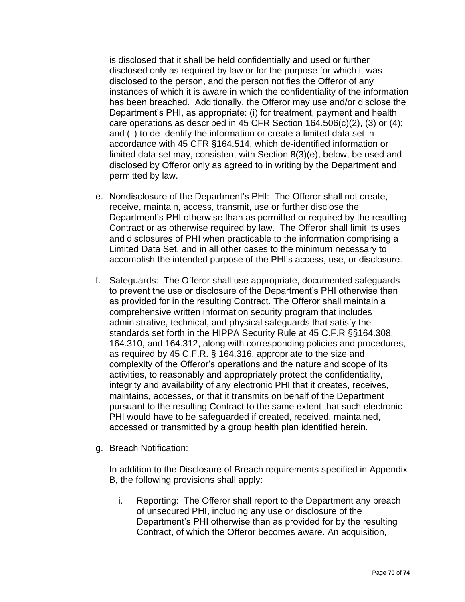is disclosed that it shall be held confidentially and used or further disclosed only as required by law or for the purpose for which it was disclosed to the person, and the person notifies the Offeror of any instances of which it is aware in which the confidentiality of the information has been breached. Additionally, the Offeror may use and/or disclose the Department's PHI, as appropriate: (i) for treatment, payment and health care operations as described in 45 CFR Section 164.506(c)(2), (3) or (4); and (ii) to de-identify the information or create a limited data set in accordance with 45 CFR §164.514, which de-identified information or limited data set may, consistent with Section 8(3)(e), below, be used and disclosed by Offeror only as agreed to in writing by the Department and permitted by law.

- e. Nondisclosure of the Department's PHI: The Offeror shall not create, receive, maintain, access, transmit, use or further disclose the Department's PHI otherwise than as permitted or required by the resulting Contract or as otherwise required by law. The Offeror shall limit its uses and disclosures of PHI when practicable to the information comprising a Limited Data Set, and in all other cases to the minimum necessary to accomplish the intended purpose of the PHI's access, use, or disclosure.
- f. Safeguards: The Offeror shall use appropriate, documented safeguards to prevent the use or disclosure of the Department's PHI otherwise than as provided for in the resulting Contract. The Offeror shall maintain a comprehensive written information security program that includes administrative, technical, and physical safeguards that satisfy the standards set forth in the HIPPA Security Rule at 45 C.F.R §§164.308, 164.310, and 164.312, along with corresponding policies and procedures, as required by 45 C.F.R. § 164.316, appropriate to the size and complexity of the Offeror's operations and the nature and scope of its activities, to reasonably and appropriately protect the confidentiality, integrity and availability of any electronic PHI that it creates, receives, maintains, accesses, or that it transmits on behalf of the Department pursuant to the resulting Contract to the same extent that such electronic PHI would have to be safeguarded if created, received, maintained, accessed or transmitted by a group health plan identified herein.
- g. Breach Notification:

In addition to the Disclosure of Breach requirements specified in Appendix B, the following provisions shall apply:

i. Reporting: The Offeror shall report to the Department any breach of unsecured PHI, including any use or disclosure of the Department's PHI otherwise than as provided for by the resulting Contract, of which the Offeror becomes aware. An acquisition,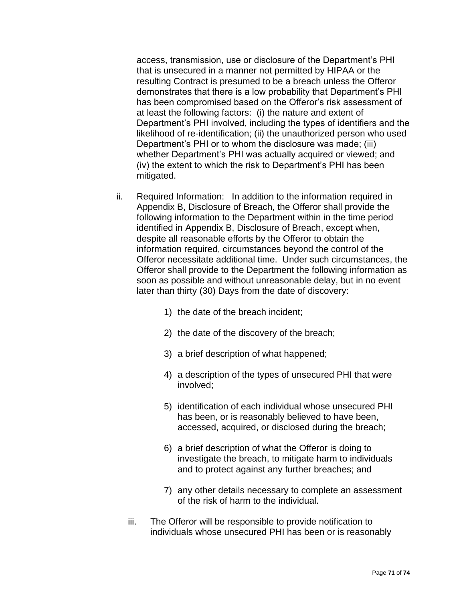access, transmission, use or disclosure of the Department's PHI that is unsecured in a manner not permitted by HIPAA or the resulting Contract is presumed to be a breach unless the Offeror demonstrates that there is a low probability that Department's PHI has been compromised based on the Offeror's risk assessment of at least the following factors: (i) the nature and extent of Department's PHI involved, including the types of identifiers and the likelihood of re-identification; (ii) the unauthorized person who used Department's PHI or to whom the disclosure was made; (iii) whether Department's PHI was actually acquired or viewed; and (iv) the extent to which the risk to Department's PHI has been mitigated.

- ii. Required Information: In addition to the information required in Appendix B, Disclosure of Breach, the Offeror shall provide the following information to the Department within in the time period identified in Appendix B, Disclosure of Breach, except when, despite all reasonable efforts by the Offeror to obtain the information required, circumstances beyond the control of the Offeror necessitate additional time. Under such circumstances, the Offeror shall provide to the Department the following information as soon as possible and without unreasonable delay, but in no event later than thirty (30) Days from the date of discovery:
	- 1) the date of the breach incident;
	- 2) the date of the discovery of the breach;
	- 3) a brief description of what happened;
	- 4) a description of the types of unsecured PHI that were involved;
	- 5) identification of each individual whose unsecured PHI has been, or is reasonably believed to have been, accessed, acquired, or disclosed during the breach;
	- 6) a brief description of what the Offeror is doing to investigate the breach, to mitigate harm to individuals and to protect against any further breaches; and
	- 7) any other details necessary to complete an assessment of the risk of harm to the individual.
	- iii. The Offeror will be responsible to provide notification to individuals whose unsecured PHI has been or is reasonably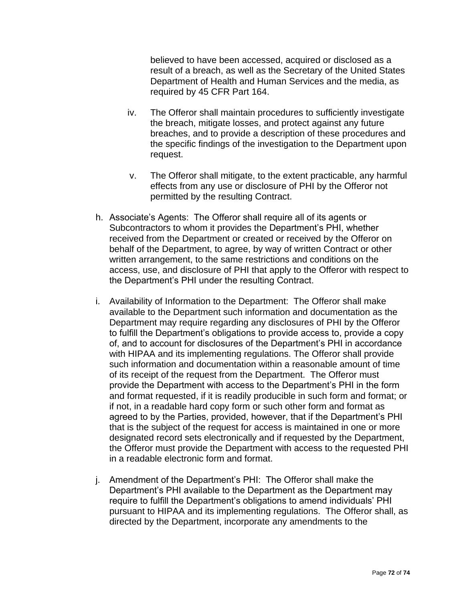believed to have been accessed, acquired or disclosed as a result of a breach, as well as the Secretary of the United States Department of Health and Human Services and the media, as required by 45 CFR Part 164.

- iv. The Offeror shall maintain procedures to sufficiently investigate the breach, mitigate losses, and protect against any future breaches, and to provide a description of these procedures and the specific findings of the investigation to the Department upon request.
- v. The Offeror shall mitigate, to the extent practicable, any harmful effects from any use or disclosure of PHI by the Offeror not permitted by the resulting Contract.
- h. Associate's Agents: The Offeror shall require all of its agents or Subcontractors to whom it provides the Department's PHI, whether received from the Department or created or received by the Offeror on behalf of the Department, to agree, by way of written Contract or other written arrangement, to the same restrictions and conditions on the access, use, and disclosure of PHI that apply to the Offeror with respect to the Department's PHI under the resulting Contract.
- i. Availability of Information to the Department: The Offeror shall make available to the Department such information and documentation as the Department may require regarding any disclosures of PHI by the Offeror to fulfill the Department's obligations to provide access to, provide a copy of, and to account for disclosures of the Department's PHI in accordance with HIPAA and its implementing regulations. The Offeror shall provide such information and documentation within a reasonable amount of time of its receipt of the request from the Department. The Offeror must provide the Department with access to the Department's PHI in the form and format requested, if it is readily producible in such form and format; or if not, in a readable hard copy form or such other form and format as agreed to by the Parties, provided, however, that if the Department's PHI that is the subject of the request for access is maintained in one or more designated record sets electronically and if requested by the Department, the Offeror must provide the Department with access to the requested PHI in a readable electronic form and format.
- j. Amendment of the Department's PHI: The Offeror shall make the Department's PHI available to the Department as the Department may require to fulfill the Department's obligations to amend individuals' PHI pursuant to HIPAA and its implementing regulations. The Offeror shall, as directed by the Department, incorporate any amendments to the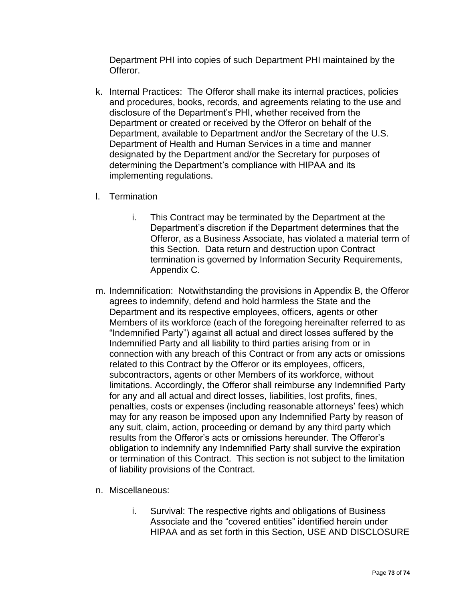Department PHI into copies of such Department PHI maintained by the Offeror.

- k. Internal Practices: The Offeror shall make its internal practices, policies and procedures, books, records, and agreements relating to the use and disclosure of the Department's PHI, whether received from the Department or created or received by the Offeror on behalf of the Department, available to Department and/or the Secretary of the U.S. Department of Health and Human Services in a time and manner designated by the Department and/or the Secretary for purposes of determining the Department's compliance with HIPAA and its implementing regulations.
- l. Termination
	- i. This Contract may be terminated by the Department at the Department's discretion if the Department determines that the Offeror, as a Business Associate, has violated a material term of this Section. Data return and destruction upon Contract termination is governed by Information Security Requirements, Appendix C.
- m. Indemnification: Notwithstanding the provisions in Appendix B, the Offeror agrees to indemnify, defend and hold harmless the State and the Department and its respective employees, officers, agents or other Members of its workforce (each of the foregoing hereinafter referred to as "Indemnified Party") against all actual and direct losses suffered by the Indemnified Party and all liability to third parties arising from or in connection with any breach of this Contract or from any acts or omissions related to this Contract by the Offeror or its employees, officers, subcontractors, agents or other Members of its workforce, without limitations. Accordingly, the Offeror shall reimburse any Indemnified Party for any and all actual and direct losses, liabilities, lost profits, fines, penalties, costs or expenses (including reasonable attorneys' fees) which may for any reason be imposed upon any Indemnified Party by reason of any suit, claim, action, proceeding or demand by any third party which results from the Offeror's acts or omissions hereunder. The Offeror's obligation to indemnify any Indemnified Party shall survive the expiration or termination of this Contract. This section is not subject to the limitation of liability provisions of the Contract.
- n. Miscellaneous:
	- i. Survival: The respective rights and obligations of Business Associate and the "covered entities" identified herein under HIPAA and as set forth in this Section, USE AND DISCLOSURE